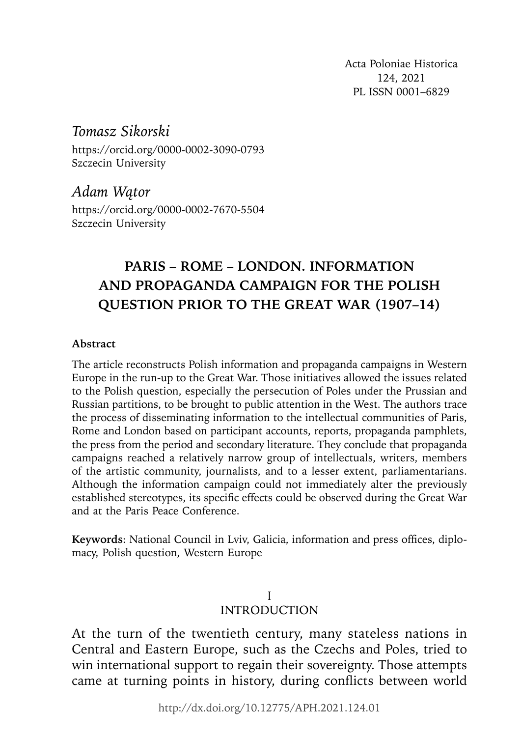Acta Poloniae Historica 124, 2021 PL ISSN 0001–6829

# *Tomasz Sikorski*

https://orcid.org/0000-0002-3090-0793 Szczecin University

# *Adam Wątor*

https://orcid.org/0000-0002-7670-5504 Szczecin University

# **PARIS – ROME – LONDON. INFORMATION AND PROPAGANDA CAMPAIGN FOR THE POLISH QUESTION PRIOR TO THE GREAT WAR (1907–14)**

#### **Abstract**

The article reconstructs Polish information and propaganda campaigns in Western Europe in the run-up to the Great War. Those initiatives allowed the issues related to the Polish question, especially the persecution of Poles under the Prussian and Russian partitions, to be brought to public attention in the West. The authors trace the process of disseminating information to the intellectual communities of Paris, Rome and London based on participant accounts, reports, propaganda pamphlets, the press from the period and secondary literature. They conclude that propaganda campaigns reached a relatively narrow group of intellectuals, writers, members of the artistic community, journalists, and to a lesser extent, parliamentarians. Although the information campaign could not immediately alter the previously established stereotypes, its specific effects could be observed during the Great War and at the Paris Peace Conference.

**Keywords**: National Council in Lviv, Galicia, information and press offices, diplomacy, Polish question, Western Europe

### I INTRODUCTION

At the turn of the twentieth century, many stateless nations in Central and Eastern Europe, such as the Czechs and Poles, tried to win international support to regain their sovereignty. Those attempts came at turning points in history, during conflicts between world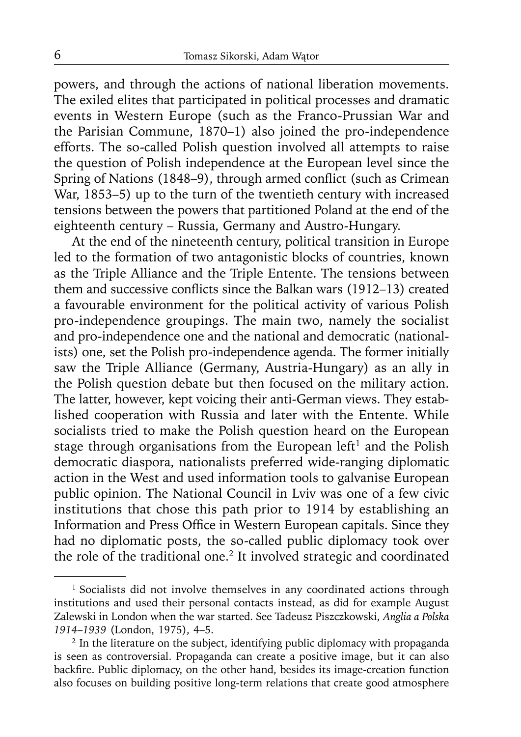powers, and through the actions of national liberation movements. The exiled elites that participated in political processes and dramatic events in Western Europe (such as the Franco-Prussian War and the Parisian Commune, 1870–1) also joined the pro-independence efforts. The so-called Polish question involved all attempts to raise the question of Polish independence at the European level since the Spring of Nations (1848–9), through armed conflict (such as Crimean War, 1853–5) up to the turn of the twentieth century with increased tensions between the powers that partitioned Poland at the end of the eighteenth century – Russia, Germany and Austro-Hungary.

At the end of the nineteenth century, political transition in Europe led to the formation of two antagonistic blocks of countries, known as the Triple Alliance and the Triple Entente. The tensions between them and successive conflicts since the Balkan wars (1912–13) created a favourable environment for the political activity of various Polish pro-independence groupings. The main two, namely the socialist and pro-independence one and the national and democratic (nationalists) one, set the Polish pro-independence agenda. The former initially saw the Triple Alliance (Germany, Austria-Hungary) as an ally in the Polish question debate but then focused on the military action. The latter, however, kept voicing their anti-German views. They established cooperation with Russia and later with the Entente. While socialists tried to make the Polish question heard on the European stage through organisations from the European left<sup>1</sup> and the Polish democratic diaspora, nationalists preferred wide-ranging diplomatic action in the West and used information tools to galvanise European public opinion. The National Council in Lviv was one of a few civic institutions that chose this path prior to 1914 by establishing an Information and Press Office in Western European capitals. Since they had no diplomatic posts, the so-called public diplomacy took over the role of the traditional one.2 It involved strategic and coordinated

<sup>&</sup>lt;sup>1</sup> Socialists did not involve themselves in any coordinated actions through institutions and used their personal contacts instead, as did for example August Zalewski in London when the war started. See Tadeusz Piszczkowski, *Anglia a Polska 1914*–*1939* (London, 1975), 4–5.

<sup>&</sup>lt;sup>2</sup> In the literature on the subject, identifying public diplomacy with propaganda is seen as controversial. Propaganda can create a positive image, but it can also backfire. Public diplomacy, on the other hand, besides its image-creation function also focuses on building positive long-term relations that create good atmosphere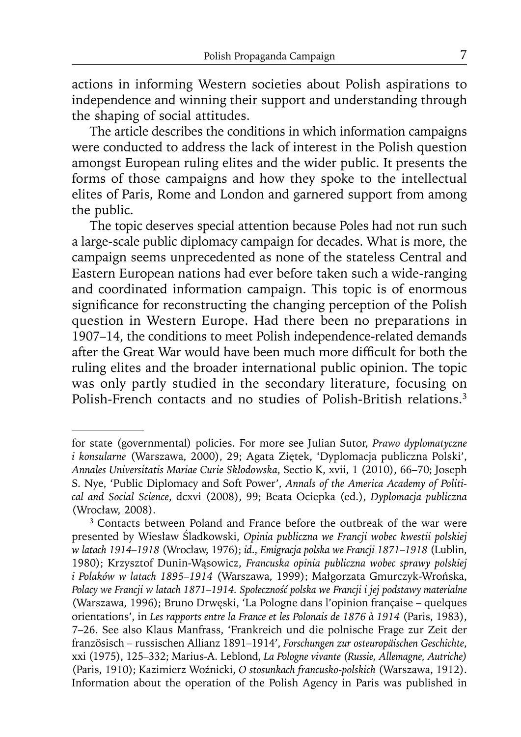actions in informing Western societies about Polish aspirations to independence and winning their support and understanding through the shaping of social attitudes.

The article describes the conditions in which information campaigns were conducted to address the lack of interest in the Polish question amongst European ruling elites and the wider public. It presents the forms of those campaigns and how they spoke to the intellectual elites of Paris, Rome and London and garnered support from among the public.

The topic deserves special attention because Poles had not run such a large-scale public diplomacy campaign for decades. What is more, the campaign seems unprecedented as none of the stateless Central and Eastern European nations had ever before taken such a wide-ranging and coordinated information campaign. This topic is of enormous significance for reconstructing the changing perception of the Polish question in Western Europe. Had there been no preparations in 1907–14, the conditions to meet Polish independence-related demands after the Great War would have been much more difficult for both the ruling elites and the broader international public opinion. The topic was only partly studied in the secondary literature, focusing on Polish-French contacts and no studies of Polish-British relations.3

for state (governmental) policies. For more see Julian Sutor, *Prawo dyplomatyczne i konsularne* (Warszawa, 2000), 29; Agata Ziętek, 'Dyplomacja publiczna Polski', *Annales Universitatis Mariae Curie Skłodowska*, Sectio K, xvii, 1 (2010), 66–70; Joseph S. Nye, 'Public Diplomacy and Soft Power', *Annals of the America Academy of Political and Social Science*, dcxvi (2008), 99; Beata Ociepka (ed.), *Dyplomacja publiczna*  (Wrocław, 2008).

<sup>&</sup>lt;sup>3</sup> Contacts between Poland and France before the outbreak of the war were presented by Wiesław Śladkowski, *Opinia publiczna we Francji wobec kwestii polskiej w latach 1914–1918* (Wrocław, 1976); *id*., *Emigracja polska we Francji 1871–1918* (Lublin, 1980); Krzysztof Dunin-Wąsowicz, *Francuska opinia publiczna wobec sprawy polskiej i Polaków w latach 1895–1914* (Warszawa, 1999); Małgorzata Gmurczyk-Wrońska, *Polacy we Francji w latach 1871–1914. Społeczność polska we Francji i jej podstawy materialne* (Warszawa, 1996); Bruno Drwęski, 'La Pologne dans l'opinion française – quelques orientations', in *Les rapports entre la France et les Polonais de 1876 à 1914* (Paris, 1983), 7–26. See also Klaus Manfrass, 'Frankreich und die polnische Frage zur Zeit der französisch – russischen Allianz 1891–1914', *Forschungen zur osteuropäischen Geschichte*, xxi (1975), 125–332; Marius-A. Leblond, *La Pologne vivante (Russie, Allemagne, Autriche)* (Paris, 1910); Kazimierz Woźnicki, *O stosunkach francusko-polskich* (Warszawa, 1912). Information about the operation of the Polish Agency in Paris was published in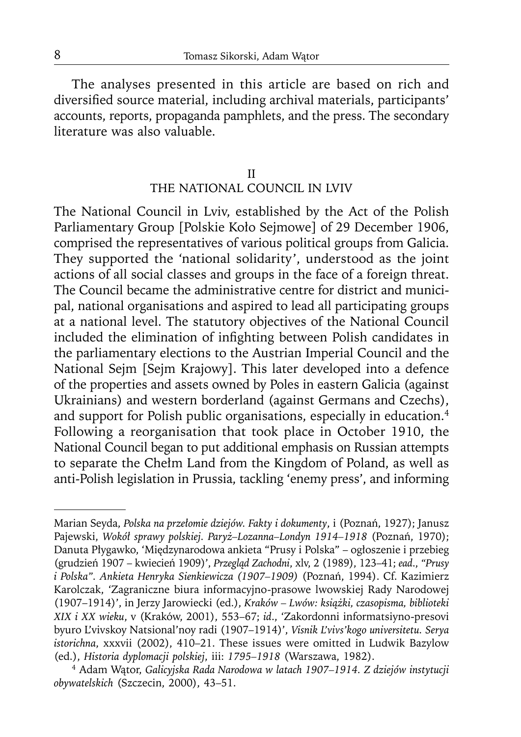The analyses presented in this article are based on rich and diversified source material, including archival materials, participants' accounts, reports, propaganda pamphlets, and the press. The secondary literature was also valuable.

## II THE NATIONAL COUNCIL IN LVIV

The National Council in Lviv, established by the Act of the Polish Parliamentary Group [Polskie Koło Sejmowe] of 29 December 1906, comprised the representatives of various political groups from Galicia. They supported the 'national solidarity', understood as the joint actions of all social classes and groups in the face of a foreign threat. The Council became the administrative centre for district and municipal, national organisations and aspired to lead all participating groups at a national level. The statutory objectives of the National Council included the elimination of infighting between Polish candidates in the parliamentary elections to the Austrian Imperial Council and the National Sejm [Sejm Krajowy]. This later developed into a defence of the properties and assets owned by Poles in eastern Galicia (against Ukrainians) and western borderland (against Germans and Czechs), and support for Polish public organisations, especially in education.<sup>4</sup> Following a reorganisation that took place in October 1910, the National Council began to put additional emphasis on Russian attempts to separate the Chełm Land from the Kingdom of Poland, as well as anti-Polish legislation in Prussia, tackling 'enemy press', and informing

Marian Seyda, *Polska na przełomie dziejów. Fakty i dokumenty*, i (Poznań, 1927); Janusz Pajewski, *Wokół sprawy polskiej. Paryż–Lozanna–Londyn 1914–1918* (Poznań, 1970); Danuta Płygawko, 'Międzynarodowa ankieta "Prusy i Polska" – ogłoszenie i przebieg (grudzień 1907 – kwiecień 1909)', *Przegląd Zachodni*, xlv, 2 (1989), 123–41; *ead*., *"Prusy i Polska". Ankieta Henryka Sienkiewicza (1907–1909)* (Poznań, 1994). Cf. Kazimierz Karolczak, 'Zagraniczne biura informacyjno-prasowe lwowskiej Rady Narodowej (1907–1914)', in Jerzy Jarowiecki (ed.), *Kraków – Lwów: książki, czasopisma, biblioteki XIX i XX wieku*, v (Kraków, 2001), 553–67; *id*., 'Zakordonni informatsiyno-presovi byuro L'vivskoy Natsional'noy radi (1907–1914)', *Visnik L'vivs'kogo universitetu. Serya istorichna*, xxxvii (2002), 410–21. These issues were omitted in Ludwik Bazylow (ed.), *Historia dyplomacji polskiej*, iii: *1795–1918* (Warszawa, 1982).

<sup>4</sup> Adam Wątor, *Galicyjska Rada Narodowa w latach 1907–1914. Z dziejów instytucji obywatelskich* (Szczecin, 2000), 43–51.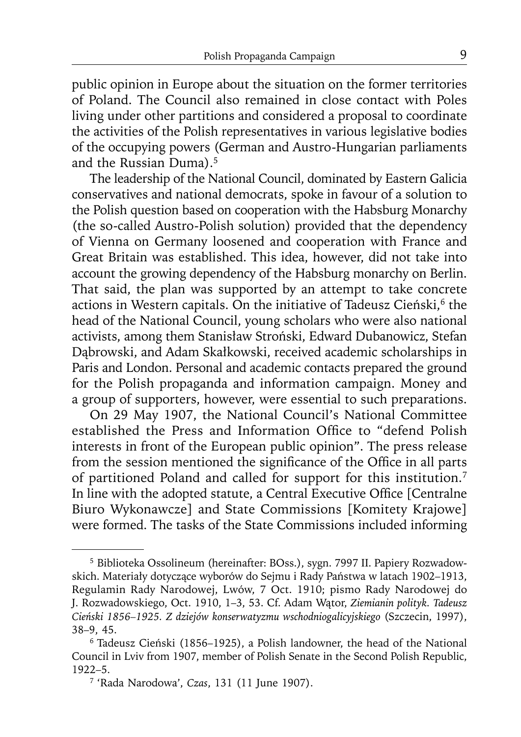public opinion in Europe about the situation on the former territories of Poland. The Council also remained in close contact with Poles living under other partitions and considered a proposal to coordinate the activities of the Polish representatives in various legislative bodies of the occupying powers (German and Austro-Hungarian parliaments and the Russian Duma).5

The leadership of the National Council, dominated by Eastern Galicia conservatives and national democrats, spoke in favour of a solution to the Polish question based on cooperation with the Habsburg Monarchy (the so-called Austro-Polish solution) provided that the dependency of Vienna on Germany loosened and cooperation with France and Great Britain was established. This idea, however, did not take into account the growing dependency of the Habsburg monarchy on Berlin. That said, the plan was supported by an attempt to take concrete actions in Western capitals. On the initiative of Tadeusz Cieński,<sup>6</sup> the head of the National Council, young scholars who were also national activists, among them Stanisław Stroński, Edward Dubanowicz, Stefan Dąbrowski, and Adam Skałkowski, received academic scholarships in Paris and London. Personal and academic contacts prepared the ground for the Polish propaganda and information campaign. Money and a group of supporters, however, were essential to such preparations.

On 29 May 1907, the National Council's National Committee established the Press and Information Office to "defend Polish interests in front of the European public opinion". The press release from the session mentioned the significance of the Office in all parts of partitioned Poland and called for support for this institution.7 In line with the adopted statute, a Central Executive Office [Centralne] Biuro Wykonawcze] and State Commissions [Komitety Krajowe] were formed. The tasks of the State Commissions included informing

<sup>5</sup> Biblioteka Ossolineum (hereinafter: BOss.), sygn. 7997 II. Papiery Rozwadowskich. Materiały dotyczące wyborów do Sejmu i Rady Państwa w latach 1902–1913, Regulamin Rady Narodowej, Lwów, 7 Oct. 1910; pismo Rady Narodowej do J. Rozwadowskiego, Oct. 1910, 1–3, 53. Cf. Adam Wątor, *Ziemianin polityk. Tadeusz Cieński 1856–1925. Z dziejów konserwatyzmu wschodniogalicyjskiego* (Szczecin, 1997), 38–9, 45.

<sup>6</sup> Tadeusz Cieński (1856–1925), a Polish landowner, the head of the National Council in Lviv from 1907, member of Polish Senate in the Second Polish Republic, 1922–5. 7 'Rada Narodowa', *Czas*, 131 (11 June 1907).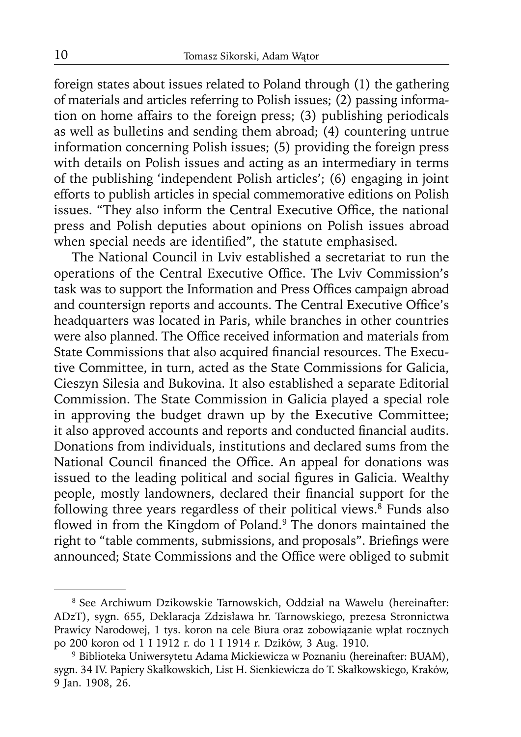foreign states about issues related to Poland through (1) the gathering of materials and articles referring to Polish issues; (2) passing information on home affairs to the foreign press; (3) publishing periodicals as well as bulletins and sending them abroad; (4) countering untrue information concerning Polish issues; (5) providing the foreign press with details on Polish issues and acting as an intermediary in terms of the publishing 'independent Polish articles'; (6) engaging in joint efforts to publish articles in special commemorative editions on Polish issues. "They also inform the Central Executive Office, the national press and Polish deputies about opinions on Polish issues abroad when special needs are identified", the statute emphasised.

The National Council in Lviv established a secretariat to run the operations of the Central Executive Office. The Lviv Commission's task was to support the Information and Press Offices campaign abroad and countersign reports and accounts. The Central Executive Office's headquarters was located in Paris, while branches in other countries were also planned. The Office received information and materials from State Commissions that also acquired financial resources. The Executive Committee, in turn, acted as the State Commissions for Galicia, Cieszyn Silesia and Bukovina. It also established a separate Editorial Commission. The State Commission in Galicia played a special role in approving the budget drawn up by the Executive Committee; it also approved accounts and reports and conducted financial audits. Donations from individuals, institutions and declared sums from the National Council financed the Office. An appeal for donations was issued to the leading political and social figures in Galicia. Wealthy people, mostly landowners, declared their financial support for the following three years regardless of their political views. $\frac{8}{3}$  Funds also flowed in from the Kingdom of Poland.<sup>9</sup> The donors maintained the right to "table comments, submissions, and proposals". Briefings were announced; State Commissions and the Office were obliged to submit

<sup>8</sup> See Archiwum Dzikowskie Tarnowskich, Oddział na Wawelu (hereinafter: ADzT), sygn. 655, Deklaracja Zdzisława hr. Tarnowskiego, prezesa Stronnictwa Prawicy Narodowej, 1 tys. koron na cele Biura oraz zobowiązanie wpłat rocznych po 200 koron od 1 I 1912 r. do 1 I 1914 r. Dzików, 3 Aug. 1910.

<sup>9</sup> Biblioteka Uniwersytetu Adama Mickiewicza w Poznaniu (hereinafter: BUAM), sygn. 34 IV. Papiery Skałkowskich, List H. Sienkiewicza do T. Skałkowskiego, Kraków, 9 Jan. 1908, 26.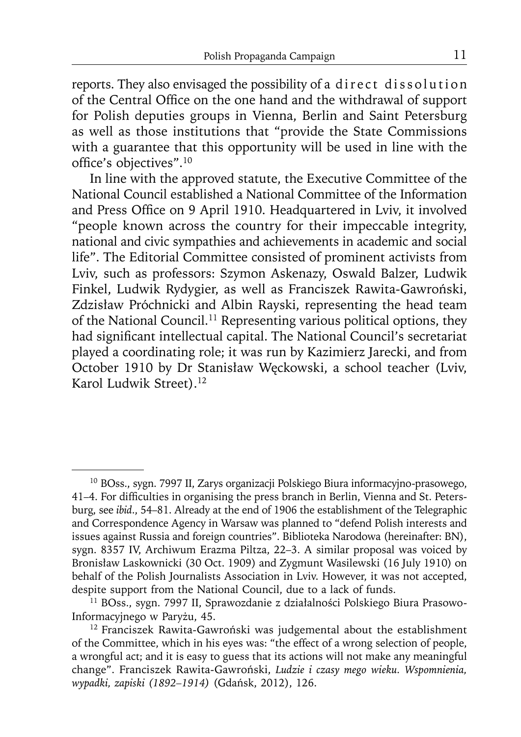reports. They also envisaged the possibility of a direct dissolution of the Central Office on the one hand and the withdrawal of support for Polish deputies groups in Vienna, Berlin and Saint Petersburg as well as those institutions that "provide the State Commissions with a guarantee that this opportunity will be used in line with the office's objectives".<sup>10</sup>

In line with the approved statute, the Executive Committee of the National Council established a National Committee of the Information and Press Office on 9 April 1910. Headquartered in Lviv, it involved "people known across the country for their impeccable integrity, national and civic sympathies and achievements in academic and social life". The Editorial Committee consisted of prominent activists from Lviv, such as professors: Szymon Askenazy, Oswald Balzer, Ludwik Finkel, Ludwik Rydygier, as well as Franciszek Rawita-Gawroński, Zdzisław Próchnicki and Albin Rayski, representing the head team of the National Council.<sup>11</sup> Representing various political options, they had significant intellectual capital. The National Council's secretariat played a coordinating role; it was run by Kazimierz Jarecki, and from October 1910 by Dr Stanisław Węckowski, a school teacher (Lviv, Karol Ludwik Street).12

<sup>10</sup> BOss., sygn. 7997 II, Zarys organizacji Polskiego Biura informacyjno-prasowego, 41–4. For difficulties in organising the press branch in Berlin, Vienna and St. Petersburg, see *ibid*., 54–81. Already at the end of 1906 the establishment of the Telegraphic and Correspondence Agency in Warsaw was planned to "defend Polish interests and issues against Russia and foreign countries". Biblioteka Narodowa (hereinafter: BN), sygn. 8357 IV, Archiwum Erazma Piltza, 22–3. A similar proposal was voiced by Bronisław Laskownicki (30 Oct. 1909) and Zygmunt Wasilewski (16 July 1910) on behalf of the Polish Journalists Association in Lviv. However, it was not accepted, despite support from the National Council, due to a lack of funds.

<sup>11</sup> BOss., sygn. 7997 II, Sprawozdanie z działalności Polskiego Biura Prasowo-Informacyjnego w Paryżu, 45.

<sup>12</sup> Franciszek Rawita-Gawroński was judgemental about the establishment of the Committee, which in his eyes was: "the effect of a wrong selection of people, a wrongful act; and it is easy to guess that its actions will not make any meaningful change". Franciszek Rawita-Gawroński, *Ludzie i czasy mego wieku. Wspomnienia, wypadki, zapiski (1892–1914)* (Gdańsk, 2012), 126.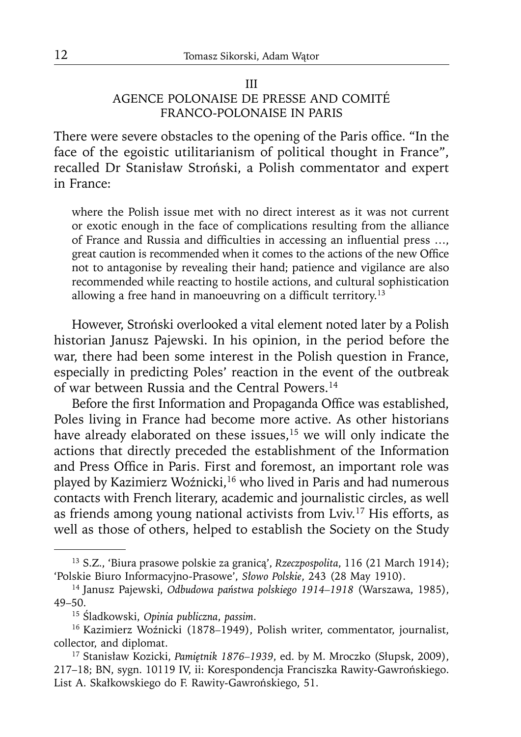## III AGENCE POLONAISE DE PRESSE AND COMITÉ FRANCO-POLONAISE IN PARIS

There were severe obstacles to the opening of the Paris office. "In the face of the egoistic utilitarianism of political thought in France", recalled Dr Stanisław Stroński, a Polish commentator and expert in France:

where the Polish issue met with no direct interest as it was not current or exotic enough in the face of complications resulting from the alliance of France and Russia and difficulties in accessing an influential press ..., great caution is recommended when it comes to the actions of the new Office not to antagonise by revealing their hand; patience and vigilance are also recommended while reacting to hostile actions, and cultural sophistication allowing a free hand in manoeuvring on a difficult territory.<sup>13</sup>

However, Stroński overlooked a vital element noted later by a Polish historian Janusz Pajewski. In his opinion, in the period before the war, there had been some interest in the Polish question in France, especially in predicting Poles' reaction in the event of the outbreak of war between Russia and the Central Powers.14

Before the first Information and Propaganda Office was established, Poles living in France had become more active. As other historians have already elaborated on these issues,<sup>15</sup> we will only indicate the actions that directly preceded the establishment of the Information and Press Office in Paris. First and foremost, an important role was played by Kazimierz Woźnicki,<sup>16</sup> who lived in Paris and had numerous contacts with French literary, academic and journalistic circles, as well as friends among young national activists from Lviv.17 His efforts, as well as those of others, helped to establish the Society on the Study

<sup>13</sup> S.Z., 'Biura prasowe polskie za granicą', *Rzeczpospolita*, 116 (21 March 1914); 'Polskie Biuro Informacyjno-Prasowe', *Słowo Polskie*, 243 (28 May 1910).

<sup>14</sup> Janusz Pajewski, *Odbudowa państwa polskiego 1914–1918* (Warszawa, 1985), 49–50.

<sup>15</sup>Śladkowski, *Opinia publiczna*, *passim*.

<sup>16</sup> Kazimierz Woźnicki (1878*–*1949), Polish writer, commentator, journalist, collector, and diplomat.

<sup>17</sup> Stanisław Kozicki, *Pamiętnik 1876–1939*, ed. by M. Mroczko (Słupsk, 2009), 217–18; BN, sygn. 10119 IV, ii: Korespondencja Franciszka Rawity-Gawrońskiego. List A. Skałkowskiego do F. Rawity-Gawrońskiego, 51.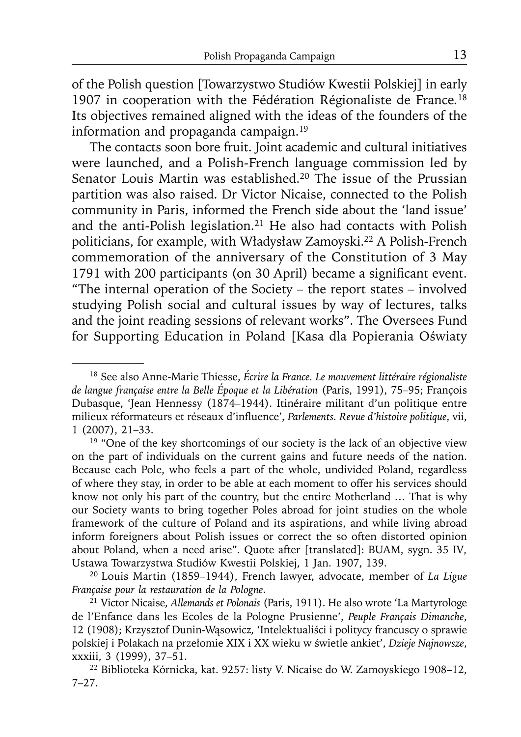of the Polish question [Towarzystwo Studiów Kwestii Polskiej] in early 1907 in cooperation with the Fédération Régionaliste de France*.* 18 Its objectives remained aligned with the ideas of the founders of the information and propaganda campaign.19

The contacts soon bore fruit. Joint academic and cultural initiatives were launched, and a Polish-French language commission led by Senator Louis Martin was established.<sup>20</sup> The issue of the Prussian partition was also raised. Dr Victor Nicaise, connected to the Polish community in Paris, informed the French side about the 'land issue' and the anti-Polish legislation.21 He also had contacts with Polish politicians, for example, with Władysław Zamoyski.<sup>22</sup> A Polish-French commemoration of the anniversary of the Constitution of 3 May 1791 with 200 participants (on 30 April) became a significant event. "The internal operation of the Society – the report states – involved studying Polish social and cultural issues by way of lectures, talks and the joint reading sessions of relevant works". The Oversees Fund for Supporting Education in Poland [Kasa dla Popierania Oświaty

<sup>18</sup> See also Anne-Marie Thiesse, *Écrire la France. Le mouvement littéraire régionaliste de langue française entre la Belle Époque et la Libération* (Paris, 1991), 75–95; François Dubasque, 'Jean Hennessy (1874–1944). Itinéraire militant d'un politique entre milieux réformateurs et réseaux d'influence', *Parlements. Revue d'histoire politique*, vii, 1 (2007), 21–33.

<sup>&</sup>lt;sup>19</sup> "One of the key shortcomings of our society is the lack of an objective view on the part of individuals on the current gains and future needs of the nation. Because each Pole, who feels a part of the whole, undivided Poland, regardless of where they stay, in order to be able at each moment to offer his services should know not only his part of the country, but the entire Motherland … That is why our Society wants to bring together Poles abroad for joint studies on the whole framework of the culture of Poland and its aspirations, and while living abroad inform foreigners about Polish issues or correct the so often distorted opinion about Poland, when a need arise". Quote after [translated]: BUAM, sygn. 35 IV*,*  Ustawa Towarzystwa Studiów Kwestii Polskiej, 1 Jan. 1907, 139. 20 Louis Martin (1859–1944), French lawyer, advocate, member of *La Ligue* 

*Française pour la restauration de la Pologne*.

<sup>21</sup> Victor Nicaise, *Allemands et Polonais* (Paris, 1911). He also wrote 'La Martyrologe de l'Enfance dans les Ecoles de la Pologne Prusienne', *Peuple Français Dimanche*, 12 (1908); Krzysztof Dunin-Wąsowicz*,* 'Intelektualiści i politycy francuscy o sprawie polskiej i Polakach na przełomie XIX i XX wieku w świetle ankiet', *Dzieje Najnowsze*, xxxiii, 3 (1999), 37–51.

<sup>22</sup> Biblioteka Kórnicka, kat. 9257: listy V. Nicaise do W. Zamoyskiego 1908–12, 7–27.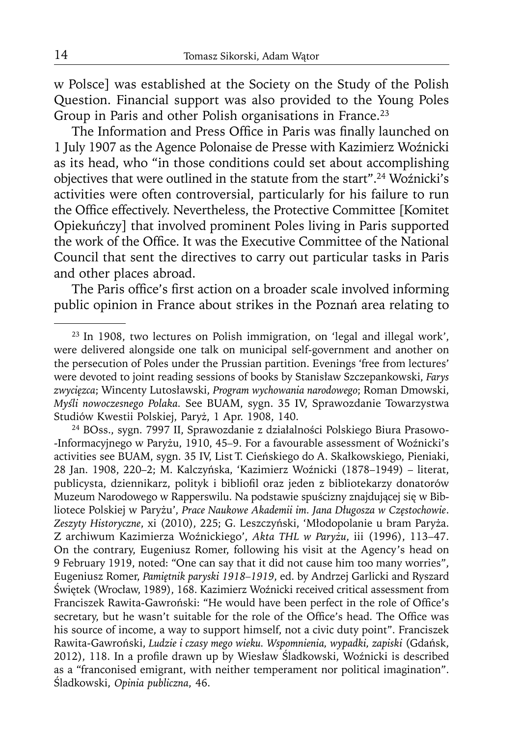w Polsce] was established at the Society on the Study of the Polish Question. Financial support was also provided to the Young Poles Group in Paris and other Polish organisations in France.23

The Information and Press Office in Paris was finally launched on 1 July 1907 as the Agence Polonaise de Presse with Kazimierz Woźnicki as its head, who "in those conditions could set about accomplishing objectives that were outlined in the statute from the start".<sup>24</sup> Woźnicki's activities were often controversial, particularly for his failure to run the Office effectively. Nevertheless, the Protective Committee [Komitet Opiekuńczy] that involved prominent Poles living in Paris supported the work of the Office. It was the Executive Committee of the National Council that sent the directives to carry out particular tasks in Paris and other places abroad.

The Paris office's first action on a broader scale involved informing public opinion in France about strikes in the Poznań area relating to

<sup>23</sup> In 1908, two lectures on Polish immigration, on 'legal and illegal work', were delivered alongside one talk on municipal self-government and another on the persecution of Poles under the Prussian partition. Evenings 'free from lectures' were devoted to joint reading sessions of books by Stanisław Szczepankowski, *Farys zwycięzca*; Wincenty Lutosławski, *Program wychowania narodowego*; Roman Dmowski, *Myśli nowoczesnego Polaka.* See BUAM, sygn. 35 IV, Sprawozdanie Towarzystwa Studiów Kwestii Polskiej, Paryż, 1 Apr. 1908, 140.

<sup>24</sup> BOss., sygn. 7997 II, Sprawozdanie z działalności Polskiego Biura Prasowo- -Informacyjnego w Paryżu, 1910, 45*–*9. For a favourable assessment of Woźnicki's activities see BUAM, sygn. 35 IV, List T. Cieńskiego do A. Skałkowskiego, Pieniaki, 28 Jan. 1908, 220–2; M. Kalczyńska, 'Kazimierz Woźnicki (1878–1949) – literat, publicysta, dziennikarz, polityk i bibliofil oraz jeden z bibliotekarzy donatorów Muzeum Narodowego w Rapperswilu. Na podstawie spuścizny znajdującej się w Bibliotece Polskiej w Paryżu', *Prace Naukowe Akademii im. Jana Długosza w Częstochowie*. *Zeszyty Historyczne*, xi (2010), 225; G. Leszczyński, 'Młodopolanie u bram Paryża. Z archiwum Kazimierza Woźnickiego', *Akta THL w Paryżu*, iii (1996), 113–47. On the contrary, Eugeniusz Romer, following his visit at the Agency's head on 9 February 1919, noted: "One can say that it did not cause him too many worries", Eugeniusz Romer, *Pamiętnik paryski 1918–1919*, ed. by Andrzej Garlicki and Ryszard Świętek (Wrocław, 1989), 168. Kazimierz Woźnicki received critical assessment from Franciszek Rawita-Gawroński: "He would have been perfect in the role of Office's secretary, but he wasn't suitable for the role of the Office's head. The Office was his source of income, a way to support himself, not a civic duty point". Franciszek Rawita-Gawroński, *Ludzie i czasy mego wieku. Wspomnienia, wypadki, zapiski* (Gdańsk, 2012), 118. In a profile drawn up by Wiesław Śladkowski, Woźnicki is described as a "franconised emigrant, with neither temperament nor political imagination". Śladkowski, *Opinia publiczna*, 46.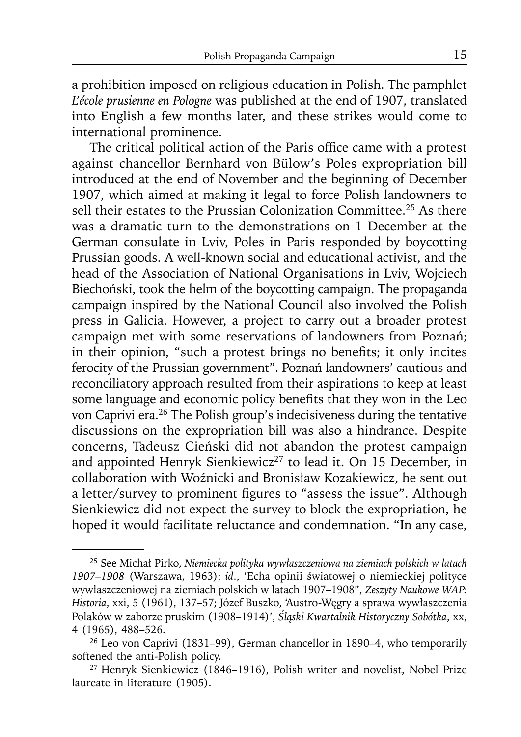a prohibition imposed on religious education in Polish. The pamphlet *L'école prusienne en Pologne* was published at the end of 1907, translated into English a few months later, and these strikes would come to international prominence.

The critical political action of the Paris office came with a protest against chancellor Bernhard von Bülow's Poles expropriation bill introduced at the end of November and the beginning of December 1907, which aimed at making it legal to force Polish landowners to sell their estates to the Prussian Colonization Committee.<sup>25</sup> As there was a dramatic turn to the demonstrations on 1 December at the German consulate in Lviv, Poles in Paris responded by boycotting Prussian goods. A well-known social and educational activist, and the head of the Association of National Organisations in Lviv, Wojciech Biechoński, took the helm of the boycotting campaign. The propaganda campaign inspired by the National Council also involved the Polish press in Galicia. However, a project to carry out a broader protest campaign met with some reservations of landowners from Poznań; in their opinion, "such a protest brings no benefits; it only incites ferocity of the Prussian government". Poznań landowners' cautious and reconciliatory approach resulted from their aspirations to keep at least some language and economic policy benefits that they won in the Leo von Caprivi era.26 The Polish group's indecisiveness during the tentative discussions on the expropriation bill was also a hindrance. Despite concerns, Tadeusz Cieński did not abandon the protest campaign and appointed Henryk Sienkiewicz<sup>27</sup> to lead it. On 15 December, in collaboration with Woźnicki and Bronisław Kozakiewicz, he sent out a letter/survey to prominent figures to "assess the issue". Although Sienkiewicz did not expect the survey to block the expropriation, he hoped it would facilitate reluctance and condemnation. "In any case,

<sup>25</sup> See Michał Pirko, *Niemiecka polityka wywłaszczeniowa na ziemiach polskich w latach 1907–1908* (Warszawa, 1963); *id*., 'Echa opinii światowej o niemieckiej polityce wywłaszczeniowej na ziemiach polskich w latach 1907–1908", *Zeszyty Naukowe WAP: Historia*, xxi, 5 (1961), 137–57; Józef Buszko, 'Austro-Węgry a sprawa wywłaszczenia Polaków w zaborze pruskim (1908–1914)', *Śląski Kwartalnik Historyczny Sobótka*, xx, 4 (1965), 488–526.

<sup>26</sup> Leo von Caprivi (1831–99), German chancellor in 1890–4, who temporarily softened the anti-Polish policy.

<sup>27</sup> Henryk Sienkiewicz (1846–1916), Polish writer and novelist, Nobel Prize laureate in literature (1905).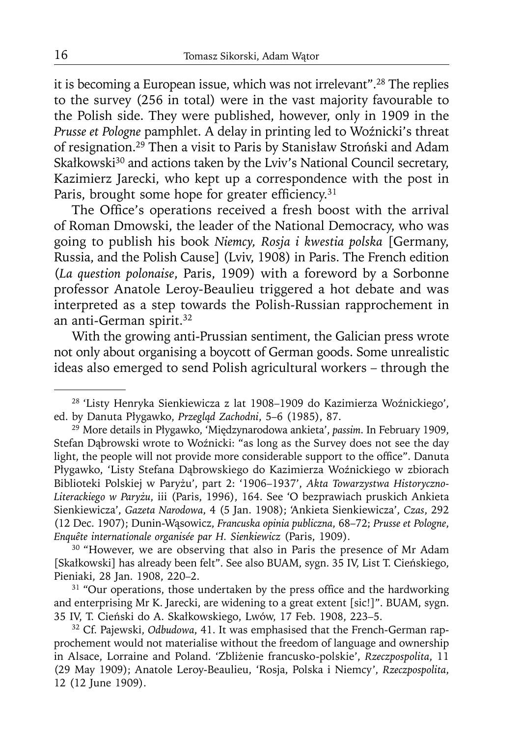it is becoming a European issue, which was not irrelevant".28 The replies to the survey (256 in total) were in the vast majority favourable to the Polish side. They were published, however, only in 1909 in the *Prusse et Pologne* pamphlet. A delay in printing led to Woźnicki's threat of resignation.29 Then a visit to Paris by Stanisław Stroński and Adam Skałkowski<sup>30</sup> and actions taken by the Lviv's National Council secretary, Kazimierz Jarecki, who kept up a correspondence with the post in Paris, brought some hope for greater efficiency. $31$ 

The Office's operations received a fresh boost with the arrival of Roman Dmowski, the leader of the National Democracy, who was going to publish his book *Niemcy, Rosja i kwestia polska* [Germany, Russia, and the Polish Cause] (Lviv, 1908) in Paris. The French edition (*La question polonaise*, Paris, 1909) with a foreword by a Sorbonne professor Anatole Leroy-Beaulieu triggered a hot debate and was interpreted as a step towards the Polish-Russian rapprochement in an anti-German spirit.<sup>32</sup>

With the growing anti-Prussian sentiment, the Galician press wrote not only about organising a boycott of German goods. Some unrealistic ideas also emerged to send Polish agricultural workers – through the

<sup>30</sup> "However, we are observing that also in Paris the presence of Mr Adam [Skałkowski] has already been felt". See also BUAM, sygn. 35 IV, List T. Cieńskiego, Pieniaki, 28 Jan. 1908, 220–2.<br><sup>31</sup> "Our operations, those undertaken by the press office and the hardworking

and enterprising Mr K. Jarecki, are widening to a great extent [sic!]". BUAM, sygn. 35 IV, T. Cieński do A. Skałkowskiego, Lwów, 17 Feb. 1908, 223-5.

<sup>28 &#</sup>x27;Listy Henryka Sienkiewicza z lat 1908–1909 do Kazimierza Woźnickiego', ed. by Danuta Płygawko, *Przegląd Zachodni*, 5–6 (1985), 87.

<sup>29</sup> More details in Płygawko, 'Międzynarodowa ankieta', *passim*. In February 1909, Stefan Dąbrowski wrote to Woźnicki: "as long as the Survey does not see the day light, the people will not provide more considerable support to the office". Danuta Płygawko, 'Listy Stefana Dąbrowskiego do Kazimierza Woźnickiego w zbiorach Biblioteki Polskiej w Paryżu', part 2: '1906–1937', *Akta Towarzystwa Historyczno-Literackiego w Paryżu*, iii (Paris, 1996), 164. See 'O bezprawiach pruskich Ankieta Sienkiewicza', *Gazeta Narodowa*, 4 (5 Jan. 1908); 'Ankieta Sienkiewicza', *Czas*, 292 (12 Dec. 1907); Dunin-Wąsowicz, *Francuska opinia publiczna*, 68–72; *Prusse et Pologne*, *Enquête internationale organisée par H. Sienkiewicz* (Paris, 1909).

<sup>&</sup>lt;sup>32</sup> Cf. Pajewski, Odbudowa, 41. It was emphasised that the French-German rapprochement would not materialise without the freedom of language and ownership in Alsace, Lorraine and Poland. 'Zbliżenie francusko-polskie', *Rzeczpospolita*, 11 (29 May 1909); Anatole Leroy-Beaulieu, 'Rosja, Polska i Niemcy', *Rzeczpospolita*, 12 (12 June 1909).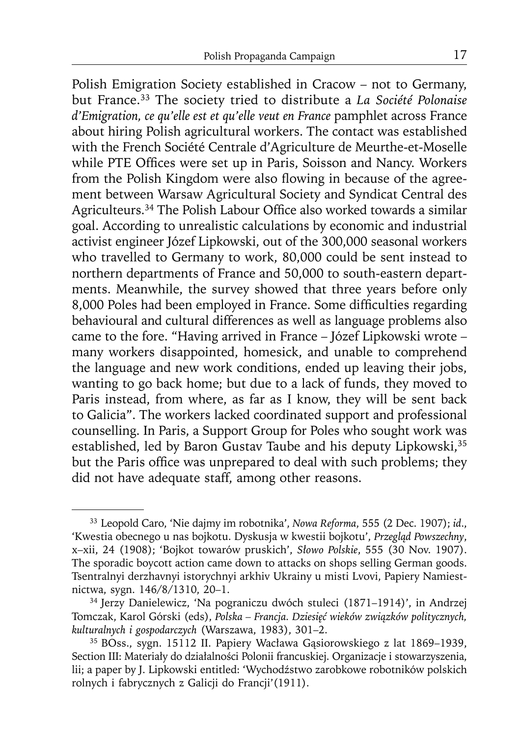Polish Emigration Society established in Cracow – not to Germany, but France.33 The society tried to distribute a *La Société Polonaise d'Emigration, ce qu'elle est et qu'elle veut en France* pamphlet across France about hiring Polish agricultural workers. The contact was established with the French Société Centrale d'Agriculture de Meurthe-et-Moselle while PTE Offices were set up in Paris, Soisson and Nancy. Workers from the Polish Kingdom were also flowing in because of the agreement between Warsaw Agricultural Society and Syndicat Central des Agriculteurs.<sup>34</sup> The Polish Labour Office also worked towards a similar goal. According to unrealistic calculations by economic and industrial activist engineer Józef Lipkowski, out of the 300,000 seasonal workers who travelled to Germany to work, 80,000 could be sent instead to northern departments of France and 50,000 to south-eastern departments. Meanwhile, the survey showed that three years before only 8,000 Poles had been employed in France. Some difficulties regarding behavioural and cultural differences as well as language problems also came to the fore. "Having arrived in France – Józef Lipkowski wrote – many workers disappointed, homesick, and unable to comprehend the language and new work conditions, ended up leaving their jobs, wanting to go back home; but due to a lack of funds, they moved to Paris instead, from where, as far as I know, they will be sent back to Galicia". The workers lacked coordinated support and professional counselling. In Paris, a Support Group for Poles who sought work was established, led by Baron Gustav Taube and his deputy Lipkowski,<sup>35</sup> but the Paris office was unprepared to deal with such problems; they did not have adequate staff, among other reasons.

<sup>33</sup> Leopold Caro, 'Nie dajmy im robotnika', *Nowa Reforma*, 555 (2 Dec. 1907); *id*., 'Kwestia obecnego u nas bojkotu. Dyskusja w kwestii bojkotu', *Przegląd Powszechny*, x–xii, 24 (1908); 'Bojkot towarów pruskich', *Słowo Polskie*, 555 (30 Nov. 1907). The sporadic boycott action came down to attacks on shops selling German goods. Tsentralnyi derzhavnyi istorychnyi arkhiv Ukrainy u misti Lvovi, Papiery Namiestnictwa, sygn. 146/8/1310, 20–1.

<sup>34</sup> Jerzy Danielewicz, 'Na pograniczu dwóch stuleci (1871–1914)', in Andrzej Tomczak, Karol Górski (eds), *Polska – Francja. Dziesięć wieków związków politycznych, kulturalnych i gospodarczych* (Warszawa, 1983), 301–2.

<sup>35</sup> BOss., sygn. 15112 II. Papiery Wacława Gąsiorowskiego z lat 1869–1939, Section III: Materiały do działalności Polonii francuskiej. Organizacje i stowarzyszenia, lii; a paper by J. Lipkowski entitled: 'Wychodźstwo zarobkowe robotników polskich rolnych i fabrycznych z Galicji do Francji'(1911).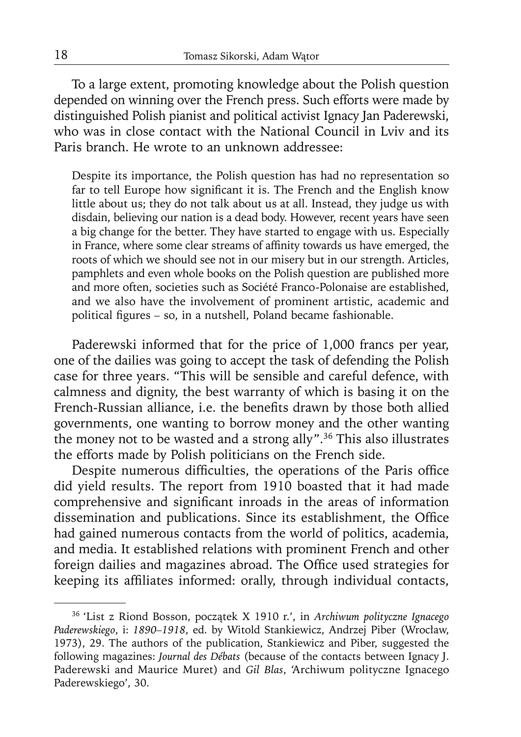To a large extent, promoting knowledge about the Polish question depended on winning over the French press. Such efforts were made by distinguished Polish pianist and political activist Ignacy Jan Paderewski, who was in close contact with the National Council in Lviv and its Paris branch. He wrote to an unknown addressee:

Despite its importance, the Polish question has had no representation so far to tell Europe how significant it is. The French and the English know little about us; they do not talk about us at all. Instead, they judge us with disdain, believing our nation is a dead body. However, recent years have seen a big change for the better. They have started to engage with us. Especially in France, where some clear streams of affinity towards us have emerged, the roots of which we should see not in our misery but in our strength. Articles, pamphlets and even whole books on the Polish question are published more and more often, societies such as Société Franco-Polonaise are established, and we also have the involvement of prominent artistic, academic and political figures - so, in a nutshell, Poland became fashionable.

Paderewski informed that for the price of 1,000 francs per year, one of the dailies was going to accept the task of defending the Polish case for three years. "This will be sensible and careful defence, with calmness and dignity, the best warranty of which is basing it on the French-Russian alliance, i.e. the benefits drawn by those both allied governments, one wanting to borrow money and the other wanting the money not to be wasted and a strong ally".36 This also illustrates the efforts made by Polish politicians on the French side.

Despite numerous difficulties, the operations of the Paris office did yield results. The report from 1910 boasted that it had made comprehensive and significant inroads in the areas of information dissemination and publications. Since its establishment, the Office had gained numerous contacts from the world of politics, academia, and media. It established relations with prominent French and other foreign dailies and magazines abroad. The Office used strategies for keeping its affiliates informed: orally, through individual contacts,

<sup>36 &#</sup>x27;List z Riond Bosson, początek X 1910 r.', in *Archiwum polityczne Ignacego Paderewskiego*, i: *1890–1918*, ed. by Witold Stankiewicz, Andrzej Piber (Wrocław, 1973), 29. The authors of the publication, Stankiewicz and Piber, suggested the following magazines: *Journal des Débats* (because of the contacts between Ignacy J. Paderewski and Maurice Muret) and *Gil Blas*, 'Archiwum polityczne Ignacego Paderewskiego', 30.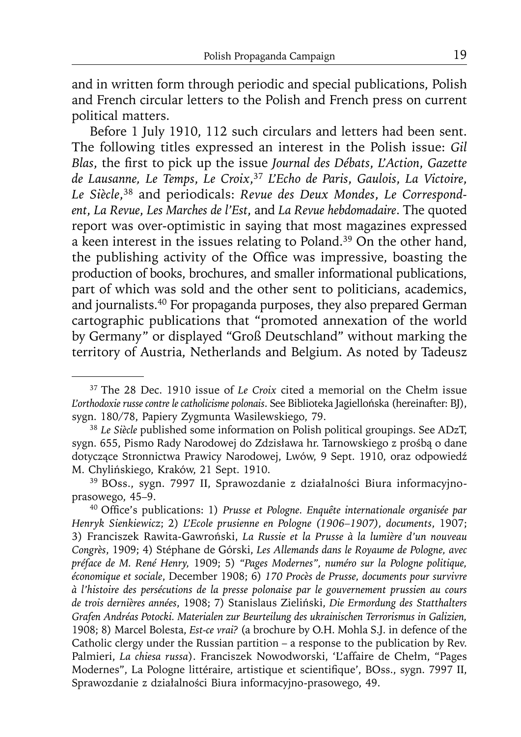and in written form through periodic and special publications, Polish and French circular letters to the Polish and French press on current political matters.

Before 1 July 1910, 112 such circulars and letters had been sent. The following titles expressed an interest in the Polish issue: *Gil Blas*, the first to pick up the issue *Journal des Débats*, *L'Action*, *Gazette de Lausanne, Le Temps*, *Le Croix*, <sup>37</sup> *L'Echo de Paris*, *Gaulois*, *La Victoire*, *Le Siècle*, 38 and periodicals: *Revue des Deux Mondes*, *Le Correspondent*, *La Revue*, *Les Marches de l'Est*, and *La Revue hebdomadaire*. The quoted report was over-optimistic in saying that most magazines expressed a keen interest in the issues relating to Poland.<sup>39</sup> On the other hand, the publishing activity of the Office was impressive, boasting the production of books, brochures, and smaller informational publications, part of which was sold and the other sent to politicians, academics, and journalists.40 For propaganda purposes, they also prepared German cartographic publications that "promoted annexation of the world by Germany" or displayed "Groß Deutschland" without marking the territory of Austria, Netherlands and Belgium. As noted by Tadeusz

<sup>37</sup> The 28 Dec. 1910 issue of *Le Croix* cited a memorial on the Chełm issue *L'orthodoxie russe contre le catholicisme polonais*. See Biblioteka Jagiellońska (hereinafter: BJ), sygn. 180/78, Papiery Zygmunta Wasilewskiego, 79.

<sup>38</sup>*Le Siècle* published some information on Polish political groupings. See ADzT, sygn. 655, Pismo Rady Narodowej do Zdzisława hr. Tarnowskiego z prośbą o dane dotyczące Stronnictwa Prawicy Narodowej, Lwów, 9 Sept. 1910, oraz odpowiedź M. Chylińskiego, Kraków, 21 Sept. 1910.

<sup>39</sup> BOss., sygn. 7997 II, Sprawozdanie z działalności Biura informacyjnoprasowego, 45–9.<br><sup>40</sup> Office's publications: 1) *Prusse et Pologne. Enquête internationale organisée par* 

*Henryk Sienkiewicz*; 2) *L'Ecole prusienne en Pologne (1906–1907), documents*, 1907; 3) Franciszek Rawita-Gawroński, *La Russie et la Prusse à la lumière d'un nouveau Congrès*, 1909; 4) Stéphane de Górski, *Les Allemands dans le Royaume de Pologne, avec préface de M. René Henry,* 1909; 5) *"Pages Modernes", numéro sur la Pologne politique, économique et sociale*, December 1908; 6) *170 Procès de Prusse, documents pour survivre à l'histoire des persécutions de la presse polonaise par le gouvernement prussien au cours de trois dernières années*, 1908; 7) Stanislaus Zieliński, *Die Ermordung des Statthalters Grafen Andréas Potocki. Materialen zur Beurteilung des ukrainischen Terrorismus in Galizien,* 1908; 8) Marcel Bolesta, *Est-ce vrai?* (a brochure by O.H. Mohla S.J. in defence of the Catholic clergy under the Russian partition – a response to the publication by Rev. Palmieri, *La chiesa russa*). Franciszek Nowodworski, 'L'affaire de Chełm, "Pages Modernes", La Pologne littéraire, artistique et scientifique', BOss., sygn. 7997 II, Sprawozdanie z działalności Biura informacyjno-prasowego, 49.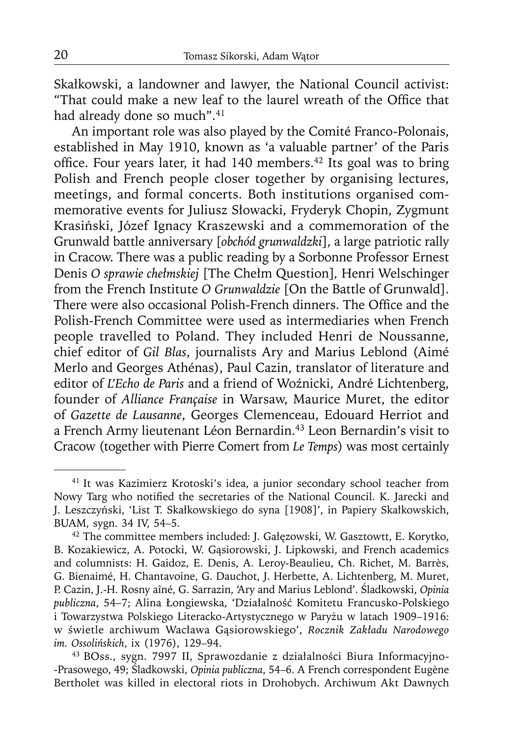Skałkowski, a landowner and lawyer, the National Council activist: "That could make a new leaf to the laurel wreath of the Office that had already done so much".<sup>41</sup>

An important role was also played by the Comité Franco-Polonais, established in May 1910, known as 'a valuable partner' of the Paris office. Four years later, it had 140 members.<sup>42</sup> Its goal was to bring Polish and French people closer together by organising lectures, meetings, and formal concerts. Both institutions organised commemorative events for Juliusz Słowacki, Fryderyk Chopin, Zygmunt Krasiński, Józef Ignacy Kraszewski and a commemoration of the Grunwald battle anniversary [*obchód grunwaldzki*], a large patriotic rally in Cracow. There was a public reading by a Sorbonne Professor Ernest Denis *O sprawie chełmskiej* [The Chełm Question]*,* Henri Welschinger from the French Institute *O Grunwaldzie* [On the Battle of Grunwald]. There were also occasional Polish-French dinners. The Office and the Polish-French Committee were used as intermediaries when French people travelled to Poland. They included Henri de Noussanne, chief editor of *Gil Blas*, journalists Ary and Marius Leblond (Aimé Merlo and Georges Athénas), Paul Cazin, translator of literature and editor of *L'Echo de Paris* and a friend of Woźnicki, André Lichtenberg, founder of *Alliance Française* in Warsaw, Maurice Muret, the editor of *Gazette de Lausanne*, Georges Clemenceau, Edouard Herriot and a French Army lieutenant Léon Bernardin.43 Leon Bernardin's visit to Cracow (together with Pierre Comert from *Le Temps*) was most certainly

<sup>41</sup> It was Kazimierz Krotoski's idea, a junior secondary school teacher from Nowy Targ who notified the secretaries of the National Council. K. Jarecki and J. Leszczyński, 'List T. Skałkowskiego do syna [1908]', in Papiery Skałkowskich, BUAM, sygn. 34 IV, 54–5.

<sup>42</sup> The committee members included: J. Gałęzowski, W. Gasztowtt, E. Korytko, B. Kozakiewicz, A. Potocki, W. Gąsiorowski, J. Lipkowski, and French academics and columnists: H. Gaidoz, E. Denis, A. Leroy-Beaulieu, Ch. Richet, M. Barrès, G. Bienaimé, H. Chantavoine, G. Dauchot, J. Herbette, A. Lichtenberg, M. Muret, P. Cazin, J.-H. Rosny aîné, G. Sarrazin, 'Ary and Marius Leblond'. Śladkowski, *Opinia publiczna*, 54–7; Alina Łongiewska, 'Działalność Komitetu Francusko-Polskiego i Towarzystwa Polskiego Literacko-Artystycznego w Paryżu w latach 1909–1916: w świetle archiwum Wacława Gąsiorowskiego', *Rocznik Zakładu Narodowego* 

<sup>&</sup>lt;sup>43</sup> BOss., sygn. 7997 II, Sprawozdanie z działalności Biura Informacyjno--Prasowego, 49; Śladkowski, *Opinia publiczna*, 54–6. A French correspondent Eugène Bertholet was killed in electoral riots in Drohobych. Archiwum Akt Dawnych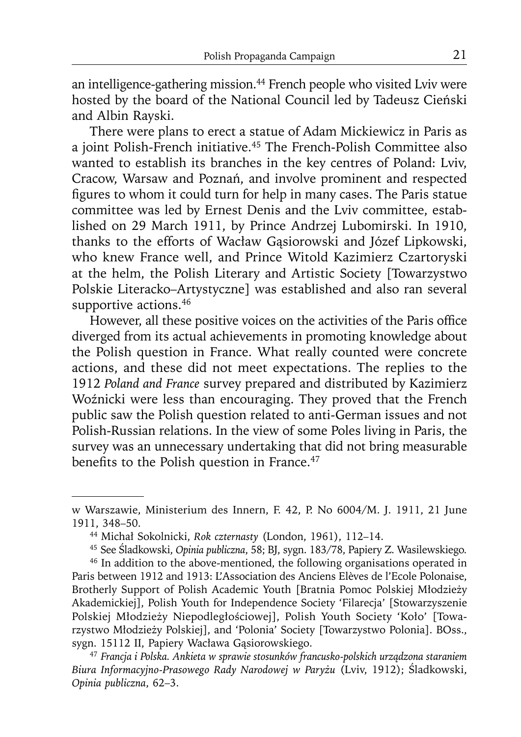an intelligence-gathering mission.<sup>44</sup> French people who visited Lviv were hosted by the board of the National Council led by Tadeusz Cieński and Albin Rayski.

There were plans to erect a statue of Adam Mickiewicz in Paris as a joint Polish-French initiative.45 The French-Polish Committee also wanted to establish its branches in the key centres of Poland: Lviv, Cracow, Warsaw and Poznań, and involve prominent and respected figures to whom it could turn for help in many cases. The Paris statue committee was led by Ernest Denis and the Lviv committee, established on 29 March 1911, by Prince Andrzej Lubomirski. In 1910, thanks to the efforts of Wacław Gąsiorowski and Józef Lipkowski, who knew France well, and Prince Witold Kazimierz Czartoryski at the helm, the Polish Literary and Artistic Society [Towarzystwo Polskie Literacko–Artystyczne] was established and also ran several supportive actions.<sup>46</sup>

However, all these positive voices on the activities of the Paris office diverged from its actual achievements in promoting knowledge about the Polish question in France. What really counted were concrete actions, and these did not meet expectations. The replies to the 1912 *Poland and France* survey prepared and distributed by Kazimierz Woźnicki were less than encouraging. They proved that the French public saw the Polish question related to anti-German issues and not Polish-Russian relations. In the view of some Poles living in Paris, the survey was an unnecessary undertaking that did not bring measurable benefits to the Polish question in France. $47$ 

w Warszawie, Ministerium des Innern, F. 42, P. No 6004/M. J. 1911, 21 June 1911, 348–50.

<sup>44</sup> Michał Sokolnicki, *Rok czternasty* (London, 1961), 112–14.

<sup>45</sup> See Śladkowski, *Opinia publiczna*, 58; BJ, sygn. 183/78, Papiery Z. Wasilewskiego*.*

<sup>&</sup>lt;sup>46</sup> In addition to the above-mentioned, the following organisations operated in Paris between 1912 and 1913: L'Association des Anciens Elèves de l'Ecole Polonaise, Brotherly Support of Polish Academic Youth [Bratnia Pomoc Polskiej Młodzieży Akademickiej], Polish Youth for Independence Society 'Filarecja' [Stowarzyszenie Polskiej Młodzieży Niepodległościowej], Polish Youth Society 'Koło' [Towarzystwo Młodzieży Polskiej], and 'Polonia' Society [Towarzystwo Polonia]. BOss., sygn. 15112 II, Papiery Wacława Gąsiorowskiego.

<sup>47</sup>*Francja i Polska. Ankieta w sprawie stosunków francusko-polskich urządzona staraniem Biura Informacyjno-Prasowego Rady Narodowej w Paryżu* (Lviv, 1912); Śladkowski, *Opinia publiczna*, 62–3.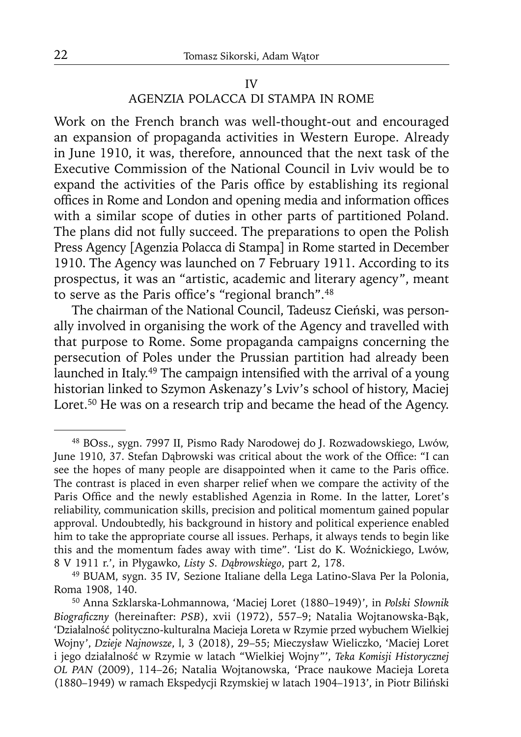#### AGENZIA POLACCA DI STAMPA IN ROME

Work on the French branch was well-thought-out and encouraged an expansion of propaganda activities in Western Europe. Already in June 1910, it was, therefore, announced that the next task of the Executive Commission of the National Council in Lviv would be to expand the activities of the Paris office by establishing its regional offices in Rome and London and opening media and information offices with a similar scope of duties in other parts of partitioned Poland. The plans did not fully succeed. The preparations to open the Polish Press Agency [Agenzia Polacca di Stampa] in Rome started in December 1910. The Agency was launched on 7 February 1911. According to its prospectus, it was an "artistic, academic and literary agency", meant to serve as the Paris office's "regional branch".<sup>48</sup>

The chairman of the National Council, Tadeusz Cieński, was personally involved in organising the work of the Agency and travelled with that purpose to Rome. Some propaganda campaigns concerning the persecution of Poles under the Prussian partition had already been launched in Italy.<sup>49</sup> The campaign intensified with the arrival of a young historian linked to Szymon Askenazy's Lviv's school of history, Maciej Loret.<sup>50</sup> He was on a research trip and became the head of the Agency.

<sup>48</sup> BOss., sygn. 7997 II, Pismo Rady Narodowej do J. Rozwadowskiego, Lwów, June 1910, 37. Stefan Dąbrowski was critical about the work of the Office: "I can see the hopes of many people are disappointed when it came to the Paris office. The contrast is placed in even sharper relief when we compare the activity of the Paris Office and the newly established Agenzia in Rome. In the latter, Loret's reliability, communication skills, precision and political momentum gained popular approval. Undoubtedly, his background in history and political experience enabled him to take the appropriate course all issues. Perhaps, it always tends to begin like this and the momentum fades away with time". 'List do K. Woźnickiego, Lwów, 8 V 1911 r.', in Płygawko, *Listy S. Dąbrowskiego*, part 2, 178.

<sup>49</sup> BUAM, sygn. 35 IV*,* Sezione Italiane della Lega Latino-Slava Per la Polonia, Roma 1908, 140.

<sup>50</sup> Anna Szklarska-Lohmannowa, 'Maciej Loret (1880–1949)', in *Polski Słownik*  Biograficzny (hereinafter: PSB), xvii (1972), 557-9; Natalia Wojtanowska-Bąk, 'Działalność polityczno-kulturalna Macieja Loreta w Rzymie przed wybuchem Wielkiej Wojny', *Dzieje Najnowsze*, l, 3 (2018), 29–55; Mieczysław Wieliczko, 'Maciej Loret i jego działalność w Rzymie w latach "Wielkiej Wojny"', *Teka Komisji Historycznej OL PAN* (2009), 114–26; Natalia Wojtanowska, 'Prace naukowe Macieja Loreta (1880–1949) w ramach Ekspedycji Rzymskiej w latach 1904–1913', in Piotr Biliński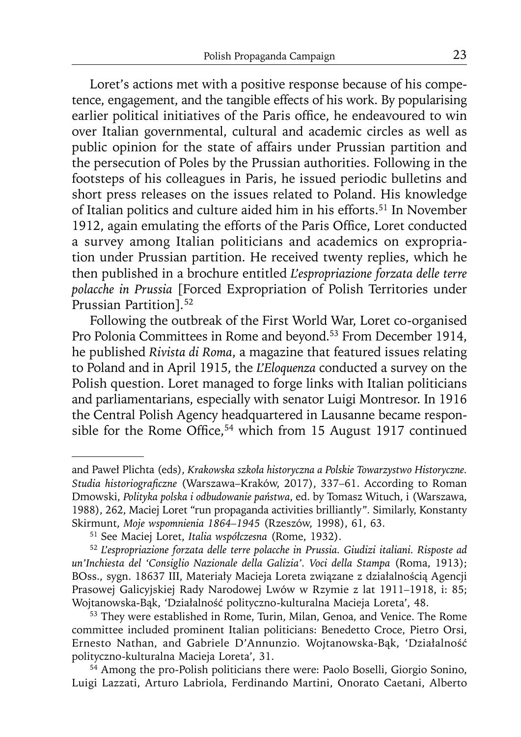Loret's actions met with a positive response because of his competence, engagement, and the tangible effects of his work. By popularising earlier political initiatives of the Paris office, he endeavoured to win over Italian governmental, cultural and academic circles as well as public opinion for the state of affairs under Prussian partition and the persecution of Poles by the Prussian authorities. Following in the footsteps of his colleagues in Paris, he issued periodic bulletins and short press releases on the issues related to Poland. His knowledge of Italian politics and culture aided him in his efforts.<sup>51</sup> In November 1912, again emulating the efforts of the Paris Office, Loret conducted a survey among Italian politicians and academics on expropriation under Prussian partition. He received twenty replies, which he then published in a brochure entitled *L'espropriazione forzata delle terre polacche in Prussia* [Forced Expropriation of Polish Territories under Prussian Partition]*.* 52

Following the outbreak of the First World War, Loret co-organised Pro Polonia Committees in Rome and beyond.53 From December 1914, he published *Rivista di Roma*, a magazine that featured issues relating to Poland and in April 1915, the *L'Eloquenza* conducted a survey on the Polish question. Loret managed to forge links with Italian politicians and parliamentarians, especially with senator Luigi Montresor. In 1916 the Central Polish Agency headquartered in Lausanne became responsible for the Rome Office,<sup>54</sup> which from 15 August 1917 continued

and Paweł Plichta (eds), *Krakowska szkoła historyczna a Polskie Towarzystwo Historyczne.*  Studia historiograficzne (Warszawa-Kraków, 2017), 337-61. According to Roman Dmowski, *Polityka polska i odbudowanie państwa*, ed. by Tomasz Wituch, i (Warszawa, 1988), 262, Maciej Loret "run propaganda activities brilliantly"*.* Similarly, Konstanty Skirmunt, *Moje wspomnienia 1864–1945* (Rzeszów, 1998), 61, 63.

<sup>51</sup> See Maciej Loret, *Italia współczesna* (Rome, 1932).

<sup>52</sup>*L'espropriazione forzata delle terre polacche in Prussia. Giudizi italiani. Risposte ad un'Inchiesta del 'Consiglio Nazionale della Galizia'. Voci della Stampa* (Roma, 1913); BOss., sygn. 18637 III, Materiały Macieja Loreta związane z działalnością Agencji Prasowej Galicyjskiej Rady Narodowej Lwów w Rzymie z lat 1911–1918, i: 85; Wojtanowska-Bąk, 'Działalność polityczno-kulturalna Macieja Loreta', 48.

<sup>&</sup>lt;sup>53</sup> They were established in Rome, Turin, Milan, Genoa, and Venice. The Rome committee included prominent Italian politicians: Benedetto Croce, Pietro Orsi, Ernesto Nathan, and Gabriele D'Annunzio. Wojtanowska-Bąk, 'Działalność polityczno-kulturalna Macieja Loreta', 31.

<sup>54</sup> Among the pro-Polish politicians there were: Paolo Boselli, Giorgio Sonino, Luigi Lazzati, Arturo Labriola, Ferdinando Martini, Onorato Caetani, Alberto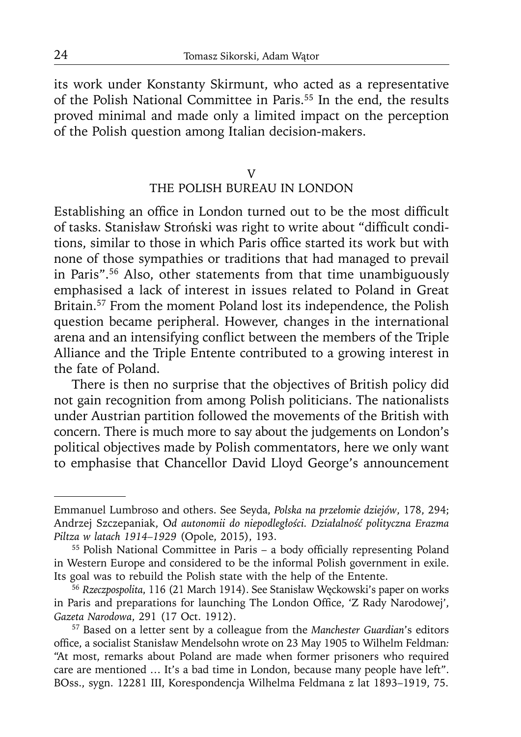its work under Konstanty Skirmunt, who acted as a representative of the Polish National Committee in Paris.55 In the end, the results proved minimal and made only a limited impact on the perception of the Polish question among Italian decision-makers.

## V THE POLISH BUREAU IN LONDON

Establishing an office in London turned out to be the most difficult of tasks. Stanisław Stroński was right to write about "difficult conditions, similar to those in which Paris office started its work but with none of those sympathies or traditions that had managed to prevail in Paris".56 Also, other statements from that time unambiguously emphasised a lack of interest in issues related to Poland in Great Britain.<sup>57</sup> From the moment Poland lost its independence, the Polish question became peripheral. However, changes in the international arena and an intensifying conflict between the members of the Triple Alliance and the Triple Entente contributed to a growing interest in the fate of Poland.

There is then no surprise that the objectives of British policy did not gain recognition from among Polish politicians. The nationalists under Austrian partition followed the movements of the British with concern. There is much more to say about the judgements on London's political objectives made by Polish commentators, here we only want to emphasise that Chancellor David Lloyd George's announcement

Emmanuel Lumbroso and others. See Seyda, *Polska na przełomie dziejów*, 178, 294; Andrzej Szczepaniak, O*d autonomii do niepodległości. Działalność polityczna Erazma Piltza w latach 1914–1929* (Opole, 2015), 193.<br><sup>55</sup> Polish National Committee in Paris – a body officially representing Poland

in Western Europe and considered to be the informal Polish government in exile. Its goal was to rebuild the Polish state with the help of the Entente. 56 *Rzeczpospolita*, 116 (21 March 1914). See Stanisław Węckowski's paper on works

in Paris and preparations for launching The London Office, 'Z Rady Narodowej', *Gazeta Narodowa*, 291 (17 Oct. 1912). 57 Based on a letter sent by a colleague from the *Manchester Guardian*'s editors

office, a socialist Stanisław Mendelsohn wrote on 23 May 1905 to Wilhelm Feldman: "At most, remarks about Poland are made when former prisoners who required care are mentioned … It's a bad time in London, because many people have left". BOss., sygn. 12281 III, Korespondencja Wilhelma Feldmana z lat 1893–1919, 75.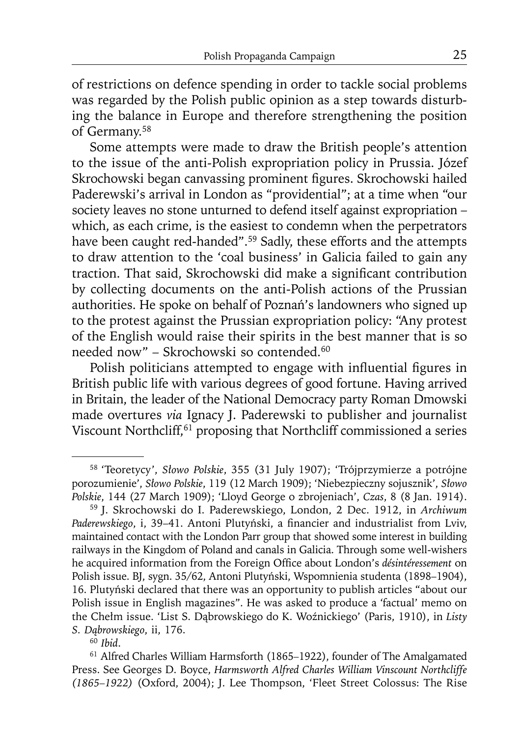of restrictions on defence spending in order to tackle social problems was regarded by the Polish public opinion as a step towards disturbing the balance in Europe and therefore strengthening the position of Germany.58

Some attempts were made to draw the British people's attention to the issue of the anti-Polish expropriation policy in Prussia. Józef Skrochowski began canvassing prominent figures. Skrochowski hailed Paderewski's arrival in London as "providential"; at a time when "our society leaves no stone unturned to defend itself against expropriation – which, as each crime, is the easiest to condemn when the perpetrators have been caught red-handed".<sup>59</sup> Sadly, these efforts and the attempts to draw attention to the 'coal business' in Galicia failed to gain any traction. That said, Skrochowski did make a significant contribution by collecting documents on the anti-Polish actions of the Prussian authorities. He spoke on behalf of Poznań's landowners who signed up to the protest against the Prussian expropriation policy: "Any protest of the English would raise their spirits in the best manner that is so needed now" – Skrochowski so contended.60

Polish politicians attempted to engage with influential figures in British public life with various degrees of good fortune. Having arrived in Britain, the leader of the National Democracy party Roman Dmowski made overtures *via* Ignacy J. Paderewski to publisher and journalist Viscount Northcliff,<sup>61</sup> proposing that Northcliff commissioned a series

<sup>58 &#</sup>x27;Teoretycy', *Słowo Polskie*, 355 (31 July 1907); 'Trójprzymierze a potrójne porozumienie', *Słowo Polskie*, 119 (12 March 1909); 'Niebezpieczny sojusznik', *Słowo Polskie*, 144 (27 March 1909); 'Lloyd George o zbrojeniach', *Czas*, 8 (8 Jan. 1914).

<sup>59</sup> J. Skrochowski do I. Paderewskiego, London, 2 Dec. 1912, in *Archiwum*  Paderewskiego, i, 39-41. Antoni Plutyński, a financier and industrialist from Lviv, maintained contact with the London Parr group that showed some interest in building railways in the Kingdom of Poland and canals in Galicia. Through some well-wishers he acquired information from the Foreign Office about London's *désintéressement* on Polish issue. BJ, sygn. 35/62, Antoni Plutyński, Wspomnienia studenta (1898–1904), 16. Plutyński declared that there was an opportunity to publish articles "about our Polish issue in English magazines". He was asked to produce a 'factual' memo on the Chełm issue. 'List S. Dąbrowskiego do K. Woźnickiego' (Paris, 1910), in *Listy S. Dąbrowskiego*, ii, 176.

<sup>60</sup>*Ibid*.

<sup>61</sup> Alfred Charles William Harmsforth (1865*–*1922), founder of The Amalgamated Press. See Georges D. Boyce, *Harmsworth Alfred Charles William Vinscount Northcliffe (1865–1922)* (Oxford, 2004); J. Lee Thompson, 'Fleet Street Colossus: The Rise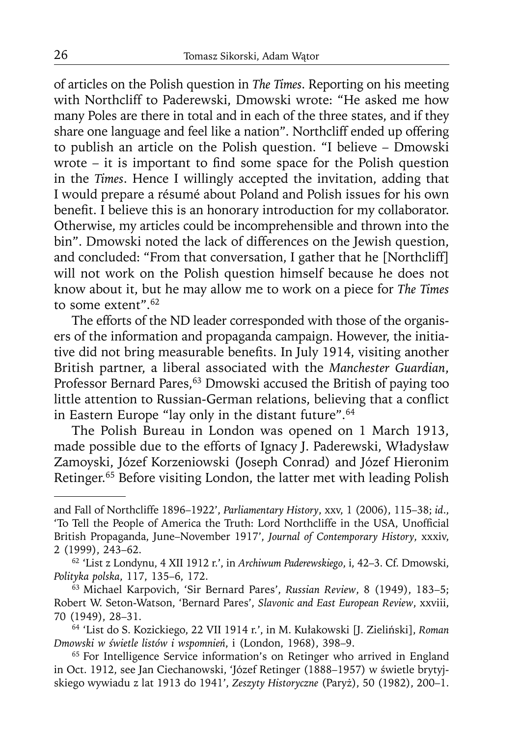of articles on the Polish question in *The Times*. Reporting on his meeting with Northcliff to Paderewski, Dmowski wrote: "He asked me how many Poles are there in total and in each of the three states, and if they share one language and feel like a nation". Northcliff ended up offering to publish an article on the Polish question. "I believe – Dmowski wrote – it is important to find some space for the Polish question in the *Times*. Hence I willingly accepted the invitation, adding that I would prepare a résumé about Poland and Polish issues for his own benefit. I believe this is an honorary introduction for my collaborator. Otherwise, my articles could be incomprehensible and thrown into the bin". Dmowski noted the lack of differences on the Jewish question, and concluded: "From that conversation, I gather that he [Northcliff] will not work on the Polish question himself because he does not know about it, but he may allow me to work on a piece for *The Times* to some extent".62

The efforts of the ND leader corresponded with those of the organisers of the information and propaganda campaign. However, the initiative did not bring measurable benefits. In July 1914, visiting another British partner, a liberal associated with the *Manchester Guardian*, Professor Bernard Pares,<sup>63</sup> Dmowski accused the British of paying too little attention to Russian-German relations, believing that a conflict in Eastern Europe "lay only in the distant future".64

The Polish Bureau in London was opened on 1 March 1913, made possible due to the efforts of Ignacy J. Paderewski, Władysław Zamoyski, Józef Korzeniowski (Joseph Conrad) and Józef Hieronim Retinger.65 Before visiting London, the latter met with leading Polish

and Fall of Northcliffe 1896–1922', *Parliamentary History*, xxv, 1 (2006), 115–38; *id*., 'To Tell the People of America the Truth: Lord Northcliffe in the USA, Unofficial British Propaganda, June–November 1917', *Journal of Contemporary History*, xxxiv, 2 (1999), 243–62.

<sup>62 &#</sup>x27;List z Londynu, 4 XII 1912 r.', in *Archiwum Paderewskiego*, i, 42–3. Cf. Dmowski, *Polityka polska*, 117, 135–6, 172.

<sup>63</sup> Michael Karpovich, 'Sir Bernard Pares', *Russian Review*, 8 (1949), 183–5; Robert W. Seton-Watson, 'Bernard Pares', *Slavonic and East European Review*, xxviii, 70 (1949), 28–31.

<sup>64 &#</sup>x27;List do S. Kozickiego, 22 VII 1914 r.', in M. Kułakowski [J. Zieliński], *Roman Dmowski w świetle listów i wspomnień*, i (London, 1968), 398–9.

<sup>&</sup>lt;sup>65</sup> For Intelligence Service information's on Retinger who arrived in England in Oct. 1912, see Jan Ciechanowski, 'Józef Retinger (1888–1957) w świetle brytyjskiego wywiadu z lat 1913 do 1941', *Zeszyty Historyczne* (Paryż), 50 (1982), 200–1.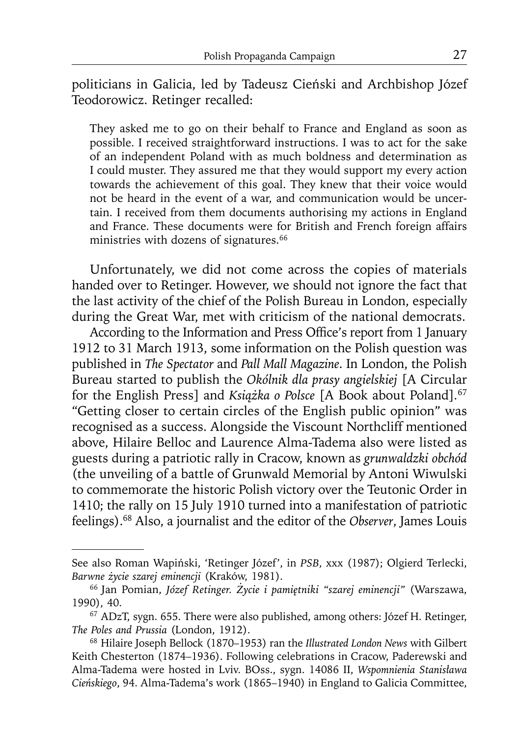politicians in Galicia, led by Tadeusz Cieński and Archbishop Józef Teodorowicz. Retinger recalled:

They asked me to go on their behalf to France and England as soon as possible. I received straightforward instructions. I was to act for the sake of an independent Poland with as much boldness and determination as I could muster. They assured me that they would support my every action towards the achievement of this goal. They knew that their voice would not be heard in the event of a war, and communication would be uncertain. I received from them documents authorising my actions in England and France. These documents were for British and French foreign affairs ministries with dozens of signatures.<sup>66</sup>

Unfortunately, we did not come across the copies of materials handed over to Retinger. However, we should not ignore the fact that the last activity of the chief of the Polish Bureau in London, especially during the Great War, met with criticism of the national democrats.

According to the Information and Press Office's report from 1 January 1912 to 31 March 1913, some information on the Polish question was published in *The Spectator* and *Pall Mall Magazine*. In London, the Polish Bureau started to publish the *Okólnik dla prasy angielskiej* [A Circular for the English Press] and *Książka o Polsce* [A Book about Poland]*.* 67 "Getting closer to certain circles of the English public opinion" was recognised as a success. Alongside the Viscount Northcliff mentioned above, Hilaire Belloc and Laurence Alma-Tadema also were listed as guests during a patriotic rally in Cracow, known as *grunwaldzki obchód*  (the unveiling of a battle of Grunwald Memorial by Antoni Wiwulski to commemorate the historic Polish victory over the Teutonic Order in 1410; the rally on 15 July 1910 turned into a manifestation of patriotic feelings).68 Also, a journalist and the editor of the *Observer*, James Louis

See also Roman Wapiński, 'Retinger Józef', in *PSB*, xxx (1987); Olgierd Terlecki, *Barwne życie szarej eminencji* (Kraków, 1981). 66 Jan Pomian, *Józef Retinger. Życie i pamiętniki "szarej eminencji"* (Warszawa,

<sup>1990), 40.</sup>

<sup>67</sup> ADzT, sygn. 655. There were also published, among others: Józef H. Retinger, *The Poles and Prussia* (London, 1912).

<sup>68</sup> Hilaire Joseph Bellock (1870–1953) ran the *Illustrated London News* with Gilbert Keith Chesterton (1874–1936). Following celebrations in Cracow, Paderewski and Alma-Tadema were hosted in Lviv. BOss., sygn. 14086 II, *Wspomnienia Stanisława Cieńskiego*, 94. Alma-Tadema's work (1865–1940) in England to Galicia Committee,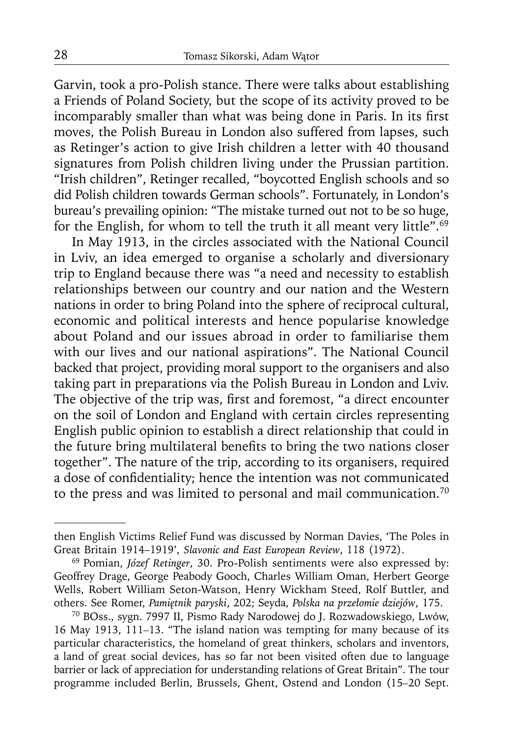Garvin, took a pro-Polish stance. There were talks about establishing a Friends of Poland Society, but the scope of its activity proved to be incomparably smaller than what was being done in Paris. In its first moves, the Polish Bureau in London also suffered from lapses, such as Retinger's action to give Irish children a letter with 40 thousand signatures from Polish children living under the Prussian partition. "Irish children", Retinger recalled, "boycotted English schools and so did Polish children towards German schools". Fortunately, in London's bureau's prevailing opinion: "The mistake turned out not to be so huge, for the English, for whom to tell the truth it all meant very little".<sup>69</sup>

In May 1913, in the circles associated with the National Council in Lviv, an idea emerged to organise a scholarly and diversionary trip to England because there was "a need and necessity to establish relationships between our country and our nation and the Western nations in order to bring Poland into the sphere of reciprocal cultural, economic and political interests and hence popularise knowledge about Poland and our issues abroad in order to familiarise them with our lives and our national aspirations". The National Council backed that project, providing moral support to the organisers and also taking part in preparations via the Polish Bureau in London and Lviv. The objective of the trip was, first and foremost, "a direct encounter on the soil of London and England with certain circles representing English public opinion to establish a direct relationship that could in the future bring multilateral benefits to bring the two nations closer together". The nature of the trip, according to its organisers, required a dose of confidentiality; hence the intention was not communicated to the press and was limited to personal and mail communication.<sup>70</sup>

then English Victims Relief Fund was discussed by Norman Davies, 'The Poles in Great Britain 1914–1919', *Slavonic and East European Review*, 118 (1972).

<sup>69</sup> Pomian, *Józef Retinger*, 30. Pro-Polish sentiments were also expressed by: Geoffrey Drage, George Peabody Gooch, Charles William Oman, Herbert George Wells, Robert William Seton-Watson, Henry Wickham Steed, Rolf Buttler, and others. See Romer, Pamiętnik paryski, 202; Seyda, Polska na przełomie dziejów, 175.

others. See Romer, *Pamiętnik paryski*, 202; Seyda, *Polska na przełomie dziejów*, 175. 70 BOss., sygn. 7997 II, Pismo Rady Narodowej do J. Rozwadowskiego, Lwów, 16 May 1913, 111*–*13. "The island nation was tempting for many because of its particular characteristics, the homeland of great thinkers, scholars and inventors, a land of great social devices, has so far not been visited often due to language barrier or lack of appreciation for understanding relations of Great Britain". The tour programme included Berlin, Brussels, Ghent, Ostend and London (15*–*20 Sept.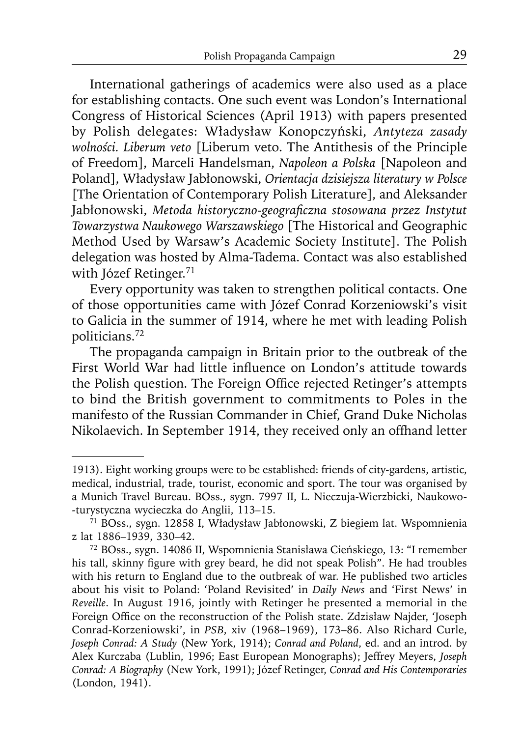International gatherings of academics were also used as a place for establishing contacts. One such event was London's International Congress of Historical Sciences (April 1913) with papers presented by Polish delegates: Władysław Konopczyński, *Antyteza zasady wolności. Liberum veto* [Liberum veto. The Antithesis of the Principle of Freedom], Marceli Handelsman, *Napoleon a Polska* [Napoleon and Poland], Władysław Jabłonowski, *Orientacja dzisiejsza literatury w Polsce* [The Orientation of Contemporary Polish Literature], and Aleksander Jabłonowski, Metoda historyczno-geograficzna stosowana przez Instytut *Towarzystwa Naukowego Warszawskiego* [The Historical and Geographic Method Used by Warsaw's Academic Society Institute]. The Polish delegation was hosted by Alma-Tadema. Contact was also established with Józef Retinger.<sup>71</sup>

Every opportunity was taken to strengthen political contacts. One of those opportunities came with Józef Conrad Korzeniowski's visit to Galicia in the summer of 1914, where he met with leading Polish politicians.72

The propaganda campaign in Britain prior to the outbreak of the First World War had little influence on London's attitude towards the Polish question. The Foreign Office rejected Retinger's attempts to bind the British government to commitments to Poles in the manifesto of the Russian Commander in Chief, Grand Duke Nicholas Nikolaevich. In September 1914, they received only an offhand letter

<sup>1913).</sup> Eight working groups were to be established: friends of city-gardens, artistic, medical, industrial, trade, tourist, economic and sport. The tour was organised by a Munich Travel Bureau. BOss., sygn. 7997 II, L. Nieczuja-Wierzbicki, Naukowo- -turystyczna wycieczka do Anglii, 113*–*15.

<sup>71</sup> BOss., sygn. 12858 I, Władysław Jabłonowski, Z biegiem lat. Wspomnienia z lat 1886–1939, 330–42. 72 BOss., sygn. 14086 II, Wspomnienia Stanisława Cieńskiego, 13: "I remember

his tall, skinny figure with grey beard, he did not speak Polish". He had troubles with his return to England due to the outbreak of war. He published two articles about his visit to Poland: 'Poland Revisited' in *Daily News* and 'First News' in *Reveille*. In August 1916, jointly with Retinger he presented a memorial in the Foreign Office on the reconstruction of the Polish state. Zdzisław Najder, 'Joseph Conrad-Korzeniowski', in *PSB*, xiv (1968–1969), 173–86. Also Richard Curle, *Joseph Conrad: A Study* (New York, 1914); *Conrad and Poland*, ed. and an introd. by Alex Kurczaba (Lublin, 1996; East European Monographs); Jeffrey Meyers, *Joseph Conrad: A Biography* (New York, 1991); Józef Retinger, *Conrad and His Contemporaries* (London, 1941).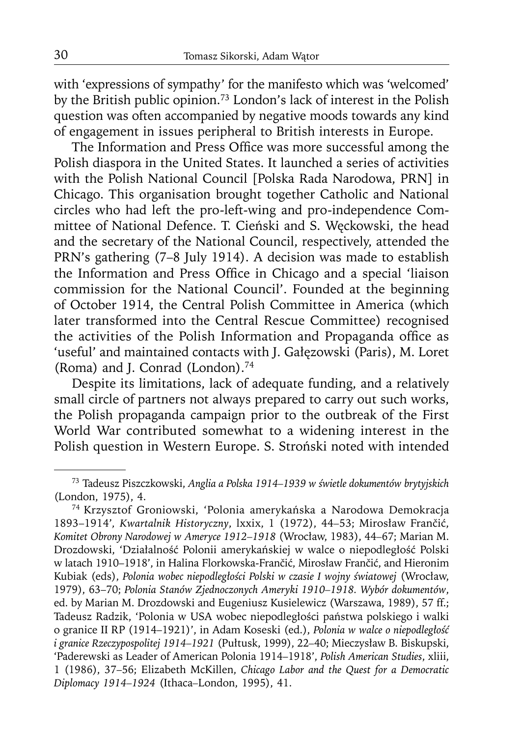with 'expressions of sympathy' for the manifesto which was 'welcomed' by the British public opinion.73 London's lack of interest in the Polish question was often accompanied by negative moods towards any kind of engagement in issues peripheral to British interests in Europe.

The Information and Press Office was more successful among the Polish diaspora in the United States. It launched a series of activities with the Polish National Council [Polska Rada Narodowa, PRN] in Chicago. This organisation brought together Catholic and National circles who had left the pro-left-wing and pro-independence Committee of National Defence. T. Cieński and S. Węckowski, the head and the secretary of the National Council, respectively, attended the PRN's gathering (7–8 July 1914). A decision was made to establish the Information and Press Office in Chicago and a special 'liaison commission for the National Council'. Founded at the beginning of October 1914, the Central Polish Committee in America (which later transformed into the Central Rescue Committee) recognised the activities of the Polish Information and Propaganda office as 'useful' and maintained contacts with J. Gałęzowski (Paris), M. Loret (Roma) and J. Conrad (London).<sup>74</sup>

Despite its limitations, lack of adequate funding, and a relatively small circle of partners not always prepared to carry out such works, the Polish propaganda campaign prior to the outbreak of the First World War contributed somewhat to a widening interest in the Polish question in Western Europe. S. Stroński noted with intended

<sup>73</sup> Tadeusz Piszczkowski, *Anglia a Polska 1914–1939 w świetle dokumentów brytyjskich* (London, 1975), 4.

<sup>74</sup> Krzysztof Groniowski, 'Polonia amerykańska a Narodowa Demokracja 1893–1914'*, Kwartalnik Historyczny*, lxxix, 1 (1972), 44*–*53; Mirosław Frančić, *Komitet Obrony Narodowej w Ameryce 1912–1918* (Wrocław, 1983), 44*–*67; Marian M. Drozdowski, 'Działalność Polonii amerykańskiej w walce o niepodległość Polski w latach 1910–1918', in Halina Florkowska-Frančić, Mirosław Frančić, and Hieronim Kubiak (eds), *Polonia wobec niepodległości Polski w czasie I wojny światowej* (Wrocław, 1979), 63–70; *Polonia Stanów Zjednoczonych Ameryki 1910–1918. Wybór dokumentów*, ed. by Marian M. Drozdowski and Eugeniusz Kusielewicz (Warszawa, 1989), 57 ff.; Tadeusz Radzik, 'Polonia w USA wobec niepodległości państwa polskiego i walki o granice II RP (1914–1921)', in Adam Koseski (ed.), *Polonia w walce o niepodległość i granice Rzeczypospolitej 1914–1921* (Pułtusk, 1999), 22*–*40; Mieczysław B. Biskupski, 'Paderewski as Leader of American Polonia 1914–1918', *Polish American Studies*, xliii, 1 (1986), 37–56; Elizabeth McKillen, *Chicago Labor and the Quest for a Democratic Diplomacy 1914–1924* (Ithaca*–*London, 1995), 41.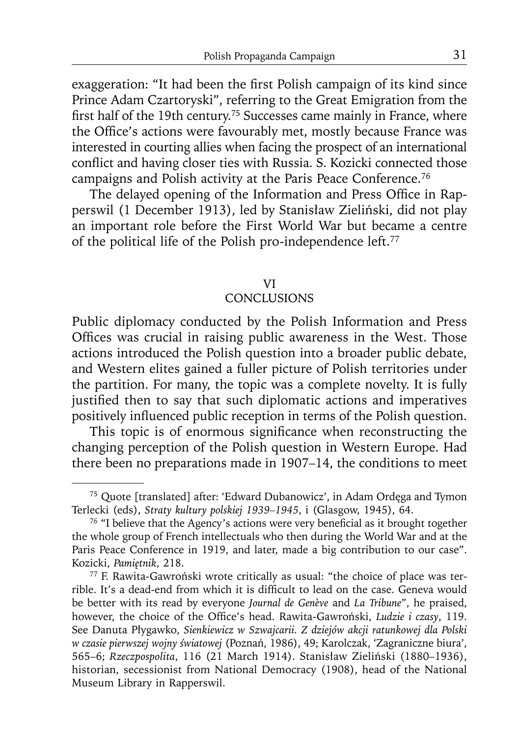exaggeration: "It had been the first Polish campaign of its kind since Prince Adam Czartoryski", referring to the Great Emigration from the first half of the 19th century.<sup>75</sup> Successes came mainly in France, where the Office's actions were favourably met, mostly because France was interested in courting allies when facing the prospect of an international conflict and having closer ties with Russia. S. Kozicki connected those campaigns and Polish activity at the Paris Peace Conference.<sup>76</sup>

The delayed opening of the Information and Press Office in Rapperswil (1 December 1913), led by Stanisław Zieliński, did not play an important role before the First World War but became a centre of the political life of the Polish pro-independence left.<sup>77</sup>

## VI

#### **CONCLUSIONS**

Public diplomacy conducted by the Polish Information and Press Offices was crucial in raising public awareness in the West. Those actions introduced the Polish question into a broader public debate, and Western elites gained a fuller picture of Polish territories under the partition. For many, the topic was a complete novelty. It is fully justified then to say that such diplomatic actions and imperatives positively influenced public reception in terms of the Polish question.

This topic is of enormous significance when reconstructing the changing perception of the Polish question in Western Europe. Had there been no preparations made in 1907–14, the conditions to meet

<sup>75</sup> Quote [translated] after: 'Edward Dubanowicz', in Adam Ordęga and Tymon Terlecki (eds), *Straty kultury polskiej 1939–1945*, i (Glasgow, 1945), 64.

<sup>&</sup>lt;sup>76</sup> "I believe that the Agency's actions were very beneficial as it brought together the whole group of French intellectuals who then during the World War and at the Paris Peace Conference in 1919, and later, made a big contribution to our case". Kozicki, *Pamiętnik*, 218.

<sup>77</sup> F. Rawita-Gawroński wrote critically as usual: "the choice of place was terrible. It's a dead-end from which it is difficult to lead on the case. Geneva would be better with its read by everyone *Journal de Genève* and *La Tribune*", he praised, however, the choice of the Office's head. Rawita-Gawroński, *Ludzie i czasy*, 119. See Danuta Płygawko, *Sienkiewicz w Szwajcarii. Z dziejów akcji ratunkowej dla Polski w czasie pierwszej wojny światowej* (Poznań, 1986), 49; Karolczak, 'Zagraniczne biura', 565–6; *Rzeczpospolita*, 116 (21 March 1914). Stanisław Zieliński (1880–1936), historian, secessionist from National Democracy (1908), head of the National Museum Library in Rapperswil.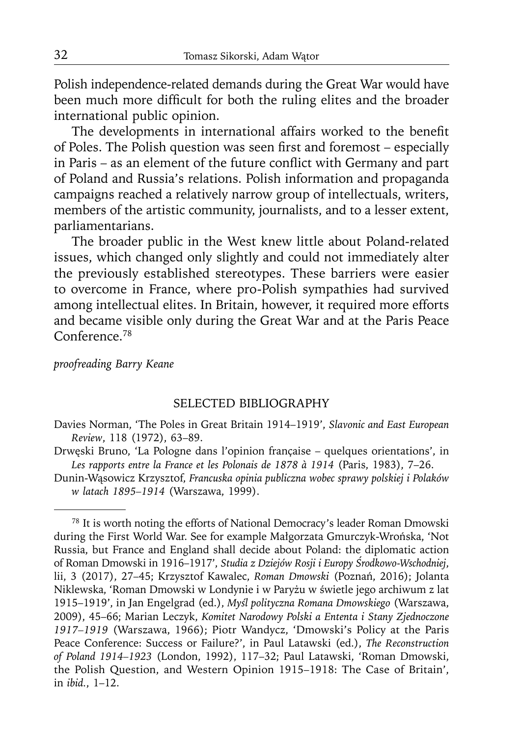Polish independence-related demands during the Great War would have been much more difficult for both the ruling elites and the broader international public opinion.

The developments in international affairs worked to the benefit of Poles. The Polish question was seen first and foremost - especially in Paris – as an element of the future conflict with Germany and part of Poland and Russia's relations. Polish information and propaganda campaigns reached a relatively narrow group of intellectuals, writers, members of the artistic community, journalists, and to a lesser extent, parliamentarians.

The broader public in the West knew little about Poland-related issues, which changed only slightly and could not immediately alter the previously established stereotypes. These barriers were easier to overcome in France, where pro-Polish sympathies had survived among intellectual elites. In Britain, however, it required more efforts and became visible only during the Great War and at the Paris Peace Conference.78

#### *proofreading Barry Keane*

#### SELECTED BIBLIOGRAPHY

- Davies Norman, 'The Poles in Great Britain 1914–1919', *Slavonic and East European Review*, 118 (1972), 63–89.
- Drwęski Bruno, 'La Pologne dans l'opinion française quelques orientations', in *Les rapports entre la France et les Polonais de 1878 à 1914* (Paris, 1983), 7–26.
- Dunin-Wąsowicz Krzysztof, *Francuska opinia publiczna wobec sprawy polskiej i Polaków w latach 1895–1914* (Warszawa, 1999).

<sup>78</sup> It is worth noting the efforts of National Democracy's leader Roman Dmowski during the First World War. See for example Małgorzata Gmurczyk-Wrońska, 'Not Russia, but France and England shall decide about Poland: the diplomatic action of Roman Dmowski in 1916–1917', *Studia z Dziejów Rosji i Europy Środkowo-Wschodniej*, lii, 3 (2017), 27–45; Krzysztof Kawalec, *Roman Dmowski* (Poznań, 2016); Jolanta Niklewska, 'Roman Dmowski w Londynie i w Paryżu w świetle jego archiwum z lat 1915–1919', in Jan Engelgrad (ed.), *Myśl polityczna Romana Dmowskiego* (Warszawa, 2009), 45–66; Marian Leczyk, *Komitet Narodowy Polski a Ententa i Stany Zjednoczone 1917–1919* (Warszawa, 1966); Piotr Wandycz, 'Dmowski's Policy at the Paris Peace Conference: Success or Failure?', in Paul Latawski (ed.), *The Reconstruction of Poland 1914–1923* (London, 1992), 117–32; Paul Latawski, 'Roman Dmowski, the Polish Question, and Western Opinion 1915–1918: The Case of Britain', in *ibid.*, 1–12.